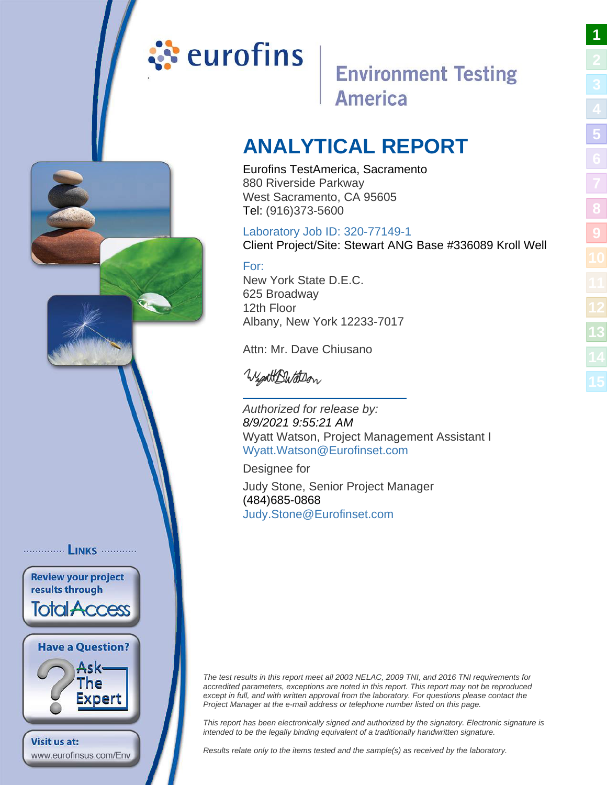# <span id="page-0-0"></span>ं eurofins

# **Environment Testing America**

# **ANALYTICAL REPORT**

Eurofins TestAmerica, Sacramento 880 Riverside Parkway West Sacramento, CA 95605 Tel: (916)373-5600

# Laboratory Job ID: 320-77149-1

Client Project/Site: Stewart ANG Base #336089 Kroll Well

# For:

New York State D.E.C. 625 Broadway 12th Floor Albany, New York 12233-7017

Attn: Mr. Dave Chiusano

WightButtDon

Authorized for release by: 8/9/2021 9:55:21 AM Wyatt Watson, Project Management Assistant I [Wyatt.Watson@Eurofinset.](mailto:Wyatt.Watson@Eurofinset.com)com

Designee for

Judy Stone, Senior Project Manager (484)685-0868 [Judy.Stone@Eurofinset.co](mailto:Judy.Stone@Eurofinset.com)m

The test results in this report meet all 2003 NELAC, 2009 TNI, and 2016 TNI requirements for accredited parameters, exceptions are noted in this report. This report may not be reproduced except in full, and with written approval from the laboratory. For questions please contact the Project Manager at the e-mail address or telephone number listed on this page.

This report has been electronically signed and authorized by the signatory. Electronic signature is intended to be the legally binding equivalent of a traditionally handwritten signature.

Results relate only to the items tested and the sample(s) as received by the laboratory.

**[1](#page-0-0)**

................ **LINKS** ............. **Review your project** results through **Total Access Have a Question?** Ask-The Expert Visit us at: www.eurofinsus.com/Env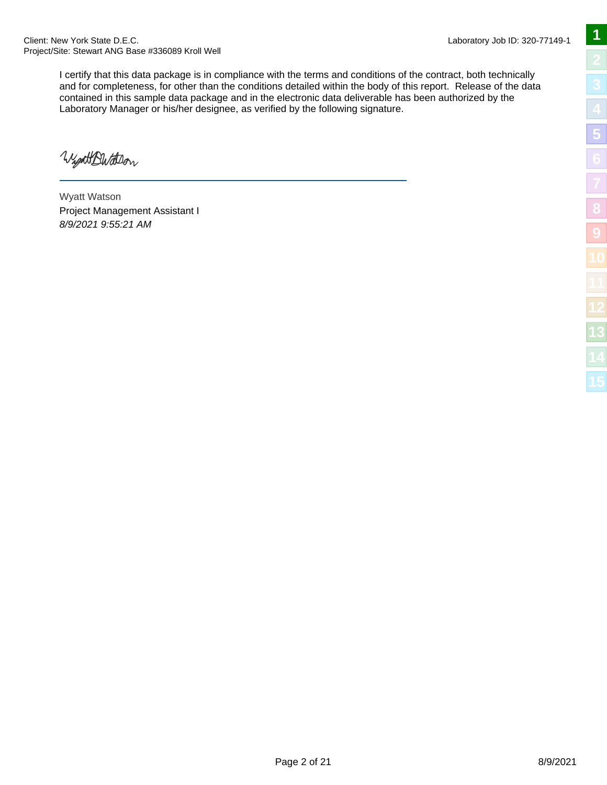I certify that this data package is in compliance with the terms and conditions of the contract, both technically and for completeness, for other than the conditions detailed within the body of this report. Release of the data contained in this sample data package and in the electronic data deliverable has been authorized by the Laboratory Manager or his/her designee, as verified by the following signature.

WightBWatter

Wyatt Watson Project Management Assistant I 8/9/2021 9:55:21 AM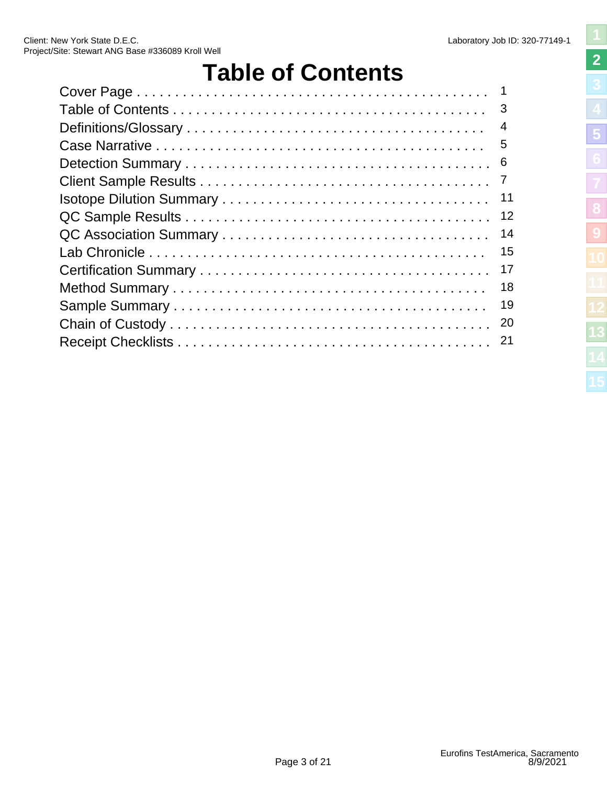# **Table of Contents**

<span id="page-2-0"></span>

| $\overline{4}$ |
|----------------|
| 5              |
| -6             |
| $\overline{7}$ |
| 11             |
| 12             |
| 14             |
| 15             |
| 17             |
| 18             |
| 19             |
| 20             |
| 21             |
|                |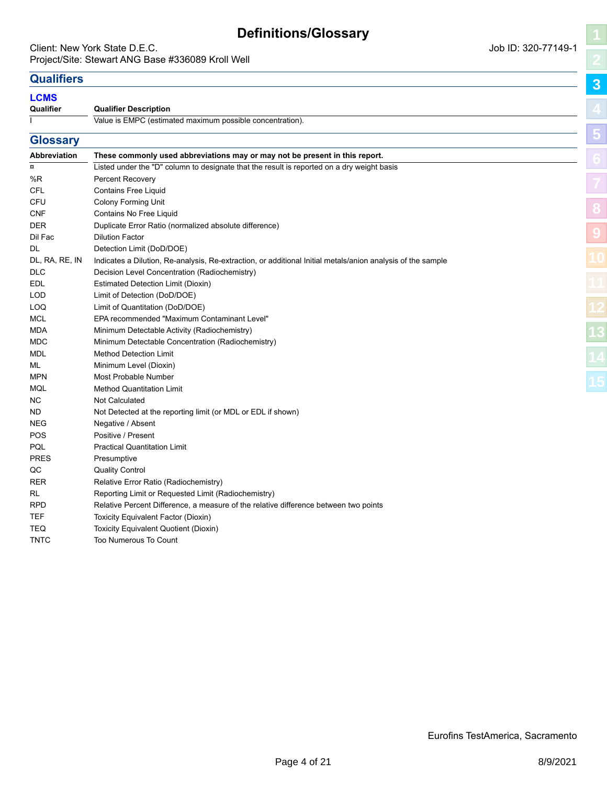# **Definitions/Glossary**

#### <span id="page-3-0"></span>Client: New York State D.E.C. **Client:** New York State D.E.C. Project/Site: Stewart ANG Base #336089 Kroll Well

**[3](#page-3-0)**

**[5](#page-5-0)**

**[8](#page-11-0)**

**[9](#page-13-0)**

# **Qualifiers**

#### **LCMS**

**Qualifier** 

| Qualifier | <b>Qualifier Description</b>                              |
|-----------|-----------------------------------------------------------|
|           | Value is EMPC (estimated maximum possible concentration). |

| <b>Glossary</b>     |                                                                                                             |
|---------------------|-------------------------------------------------------------------------------------------------------------|
| <b>Abbreviation</b> | These commonly used abbreviations may or may not be present in this report.                                 |
| $\alpha$            | Listed under the "D" column to designate that the result is reported on a dry weight basis                  |
| %R                  | Percent Recovery                                                                                            |
| CFL                 | <b>Contains Free Liquid</b>                                                                                 |
| CFU                 | <b>Colony Forming Unit</b>                                                                                  |
| <b>CNF</b>          | Contains No Free Liquid                                                                                     |
| <b>DER</b>          | Duplicate Error Ratio (normalized absolute difference)                                                      |
| Dil Fac             | <b>Dilution Factor</b>                                                                                      |
| DL                  | Detection Limit (DoD/DOE)                                                                                   |
| DL, RA, RE, IN      | Indicates a Dilution, Re-analysis, Re-extraction, or additional Initial metals/anion analysis of the sample |
| <b>DLC</b>          | Decision Level Concentration (Radiochemistry)                                                               |
| EDL                 | Estimated Detection Limit (Dioxin)                                                                          |
| LOD                 | Limit of Detection (DoD/DOE)                                                                                |
| LOQ                 | Limit of Quantitation (DoD/DOE)                                                                             |
| <b>MCL</b>          | EPA recommended "Maximum Contaminant Level"                                                                 |
| MDA                 | Minimum Detectable Activity (Radiochemistry)                                                                |
| MDC                 | Minimum Detectable Concentration (Radiochemistry)                                                           |
| MDL                 | <b>Method Detection Limit</b>                                                                               |
| ML                  | Minimum Level (Dioxin)                                                                                      |
| <b>MPN</b>          | Most Probable Number                                                                                        |
| MQL                 | <b>Method Quantitation Limit</b>                                                                            |
| NC.                 | <b>Not Calculated</b>                                                                                       |
| ND                  | Not Detected at the reporting limit (or MDL or EDL if shown)                                                |
| <b>NEG</b>          | Negative / Absent                                                                                           |
| <b>POS</b>          | Positive / Present                                                                                          |
| PQL                 | <b>Practical Quantitation Limit</b>                                                                         |
| <b>PRES</b>         | Presumptive                                                                                                 |
| QC                  | <b>Quality Control</b>                                                                                      |
| <b>RER</b>          | Relative Error Ratio (Radiochemistry)                                                                       |
| RL                  | Reporting Limit or Requested Limit (Radiochemistry)                                                         |
| <b>RPD</b>          | Relative Percent Difference, a measure of the relative difference between two points                        |
| <b>TEF</b>          | Toxicity Equivalent Factor (Dioxin)                                                                         |
| <b>TEQ</b>          | Toxicity Equivalent Quotient (Dioxin)                                                                       |
| <b>TNTC</b>         | Too Numerous To Count                                                                                       |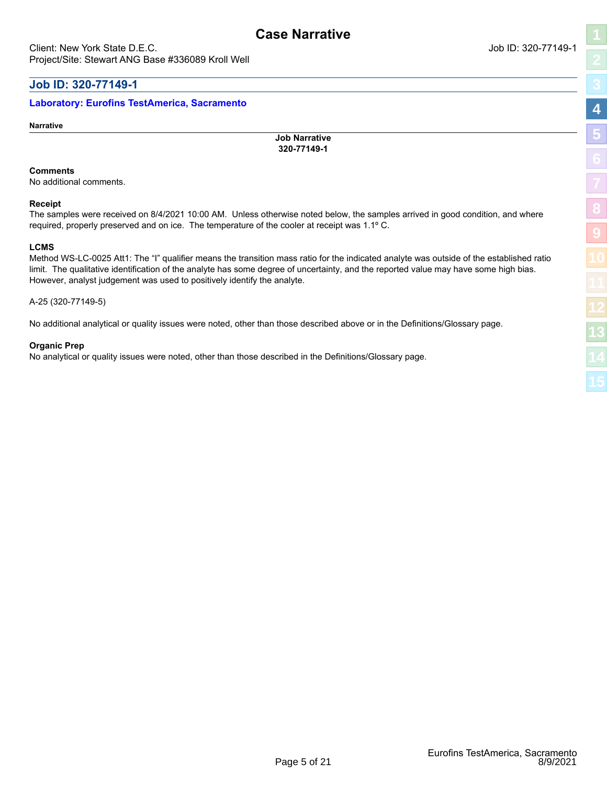### <span id="page-4-0"></span>**Job ID: 320-77149-1**

#### **Laboratory: Eurofins TestAmerica, Sacramento**

**Narrative**

**Job Narrative 320-77149-1**

#### **Comments**

No additional comments.

#### **Receipt**

The samples were received on 8/4/2021 10:00 AM. Unless otherwise noted below, the samples arrived in good condition, and where required, properly preserved and on ice. The temperature of the cooler at receipt was 1.1º C.

#### **LCMS**

Method WS-LC-0025 Att1: The "I" qualifier means the transition mass ratio for the indicated analyte was outside of the established ratio limit. The qualitative identification of the analyte has some degree of uncertainty, and the reported value may have some high bias. However, analyst judgement was used to positively identify the analyte.

#### A-25 (320-77149-5)

No additional analytical or quality issues were noted, other than those described above or in the Definitions/Glossary page.

#### **Organic Prep**

No analytical or quality issues were noted, other than those described in the Definitions/Glossary page.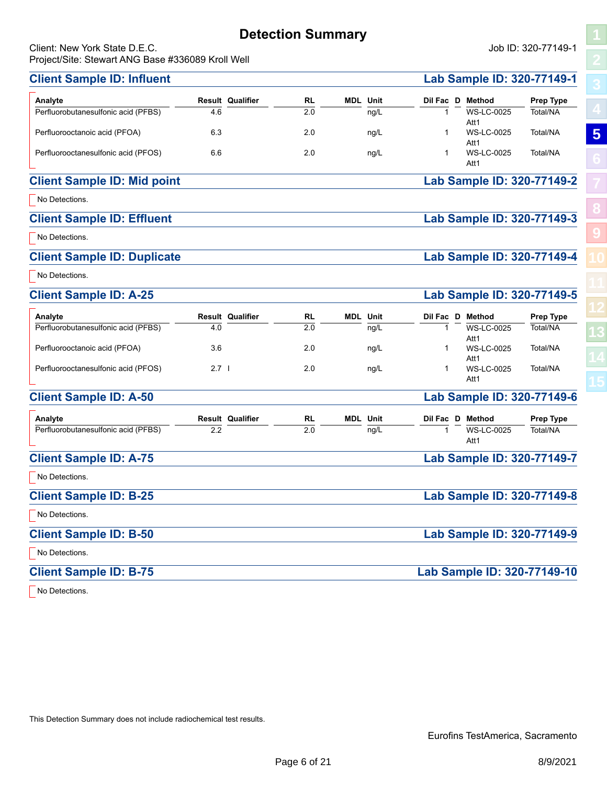# **Detection Summary**

<span id="page-5-0"></span>Client: New York State D.E.C. Job ID: 320-77149-1 Projec

**[5](#page-5-0)**

**[8](#page-11-0)**

**[9](#page-13-0)**

| Project/Site: Stewart ANG Base #336089 Kroll Well |         |                         |           |                 |              |                                   |           |
|---------------------------------------------------|---------|-------------------------|-----------|-----------------|--------------|-----------------------------------|-----------|
| <b>Client Sample ID: Influent</b>                 |         |                         |           |                 |              | Lab Sample ID: 320-77149-1        |           |
| Analyte                                           |         | <b>Result Qualifier</b> | <b>RL</b> | <b>MDL</b> Unit | Dil Fac D    | Method                            | Prep Type |
| Perfluorobutanesulfonic acid (PFBS)               | 4.6     |                         | 2.0       | ng/L            | 1            | <b>WS-LC-0025</b><br>Att1         | Total/NA  |
| Perfluorooctanoic acid (PFOA)                     | 6.3     |                         | 2.0       | ng/L            | 1            | <b>WS-LC-0025</b>                 | Total/NA  |
| Perfluorooctanesulfonic acid (PFOS)               | 6.6     |                         | 2.0       | ng/L            | 1            | Att1<br><b>WS-LC-0025</b><br>Att1 | Total/NA  |
| <b>Client Sample ID: Mid point</b>                |         |                         |           |                 |              | Lab Sample ID: 320-77149-2        |           |
| No Detections.                                    |         |                         |           |                 |              |                                   |           |
| <b>Client Sample ID: Effluent</b>                 |         |                         |           |                 |              | Lab Sample ID: 320-77149-3        |           |
| No Detections.                                    |         |                         |           |                 |              |                                   |           |
| <b>Client Sample ID: Duplicate</b>                |         |                         |           |                 |              | Lab Sample ID: 320-77149-4        |           |
| No Detections.                                    |         |                         |           |                 |              |                                   |           |
| <b>Client Sample ID: A-25</b>                     |         |                         |           |                 |              | Lab Sample ID: 320-77149-5        |           |
| Analyte                                           |         | <b>Result Qualifier</b> | <b>RL</b> | <b>MDL</b> Unit | Dil Fac D    | <b>Method</b>                     | Prep Type |
| Perfluorobutanesulfonic acid (PFBS)               | 4.0     |                         | 2.0       | ng/L            | $\mathbf{1}$ | <b>WS-LC-0025</b><br>Att1         | Total/NA  |
| Perfluorooctanoic acid (PFOA)                     | 3.6     |                         | 2.0       | ng/L            | 1            | <b>WS-LC-0025</b>                 | Total/NA  |
| Perfluorooctanesulfonic acid (PFOS)               | $2.7$ l |                         | 2.0       | ng/L            | 1            | Att1<br><b>WS-LC-0025</b><br>Att1 | Total/NA  |
| <b>Client Sample ID: A-50</b>                     |         |                         |           |                 |              | Lab Sample ID: 320-77149-6        |           |
| Analyte                                           |         | <b>Result Qualifier</b> | <b>RL</b> | <b>MDL</b> Unit | Dil Fac D    | Method                            | Prep Type |
| Perfluorobutanesulfonic acid (PFBS)               | 2.2     |                         | 2.0       | ng/L            | 1            | <b>WS-LC-0025</b><br>Att1         | Total/NA  |
| <b>Client Sample ID: A-75</b>                     |         |                         |           |                 |              | Lab Sample ID: 320-77149-7        |           |
| No Detections.                                    |         |                         |           |                 |              |                                   |           |
| <b>Client Sample ID: B-25</b>                     |         |                         |           |                 |              | Lab Sample ID: 320-77149-8        |           |
| No Detections.                                    |         |                         |           |                 |              |                                   |           |
| <b>Client Sample ID: B-50</b>                     |         |                         |           |                 |              | Lab Sample ID: 320-77149-9        |           |
| No Detections.                                    |         |                         |           |                 |              |                                   |           |
| <b>Client Sample ID: B-75</b>                     |         |                         |           |                 |              | Lab Sample ID: 320-77149-10       |           |

No Detections.

This Detection Summary does not include radiochemical test results.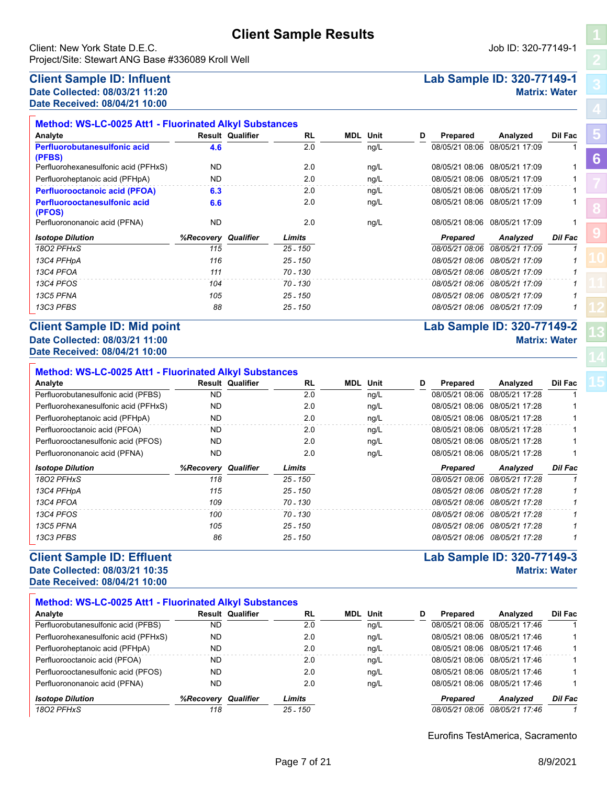<span id="page-6-0"></span>Client: New York State D.E.C. Job ID: 320-77149-1 Project/Site: Stewart ANG Base #336089 Kroll Well

### **Client Sample ID: Influent Lab Sample ID: 320-77149-1 Date Collected: 08/03/21 11:20 Matrix: Water**

**Date Received: 08/04/21 10:00**

| Analyte                                       |                            | <b>Result Qualifier</b> | <b>RL</b>  | MDL | Unit | D | Prepared       | Analyzed                      | Dil Fac        |
|-----------------------------------------------|----------------------------|-------------------------|------------|-----|------|---|----------------|-------------------------------|----------------|
| Perfluorobutanesulfonic acid                  | 4.6                        |                         | 2.0        |     | ng/L |   | 08/05/21 08:06 | 08/05/21 17:09                |                |
| (PFBS)                                        |                            |                         |            |     |      |   |                |                               |                |
| Perfluorohexanesulfonic acid (PFHxS)          | <b>ND</b>                  |                         | 2.0        |     | ng/L |   | 08/05/21 08:06 | 08/05/21 17:09                |                |
| Perfluoroheptanoic acid (PFHpA)               | ND                         |                         | 2.0        |     | ng/L |   | 08/05/21 08:06 | 08/05/21 17:09                |                |
| <b>Perfluorooctanoic acid (PFOA)</b>          | 6.3                        |                         | 2.0        |     | ng/L |   | 08/05/21 08:06 | 08/05/21 17:09                |                |
| <b>Perfluorooctanesulfonic acid</b><br>(PFOS) | 6.6                        |                         | 2.0        |     | ng/L |   | 08/05/21 08:06 | 08/05/21 17:09                |                |
| Perfluorononanoic acid (PFNA)                 | <b>ND</b>                  |                         | 2.0        |     | ng/L |   | 08/05/21 08:06 | 08/05/21 17:09                |                |
| <b>Isotope Dilution</b>                       | <b>%Recovery Qualifier</b> |                         | Limits     |     |      |   | Prepared       | Analyzed                      | <b>Dil Fac</b> |
| 1802 PFHxS                                    | 115                        |                         | 25 - 150   |     |      |   | 08/05/21 08:06 | 08/05/21 17:09                | 1              |
| 13C4 PFHpA                                    | 116                        |                         | $25 - 150$ |     |      |   | 08/05/21 08:06 | 08/05/21 17:09                |                |
| 13C4 PFOA                                     | 111                        |                         | 70 - 130   |     |      |   |                | 08/05/21 08:06 08/05/21 17:09 |                |
| 13C4 PFOS                                     | 104                        |                         | 70 - 130   |     |      |   | 08/05/21 08:06 | 08/05/21 17:09                |                |
| 13C5 PFNA                                     | 105                        |                         | $25 - 150$ |     |      |   | 08/05/21 08:06 | 08/05/21 17:09                |                |
| 13C3 PFBS                                     | 88                         |                         | $25 - 150$ |     |      |   |                | 08/05/21 08:06 08/05/21 17:09 |                |

#### **Client Sample ID: Mid point Lab Sample ID: 320-77149-2 Date Collected: 08/03/21 11:00 Matrix: Water Date Received: 08/04/21 10:00**

| Method: WS-LC-0025 Att1 - Fluorinated Alkyl Substances |                     |                         |            |                 |   |                |                               |                |
|--------------------------------------------------------|---------------------|-------------------------|------------|-----------------|---|----------------|-------------------------------|----------------|
| Analyte                                                |                     | <b>Result Qualifier</b> | <b>RL</b>  | <b>MDL</b> Unit | D | Prepared       | Analyzed                      | Dil Fac        |
| Perfluorobutanesulfonic acid (PFBS)                    | ND.                 |                         | 2.0        | nq/L            |   | 08/05/21 08:06 | 08/05/21 17:28                |                |
| Perfluorohexanesulfonic acid (PFHxS)                   | ND.                 |                         | 2.0        | nq/L            |   | 08/05/21 08:06 | 08/05/21 17:28                |                |
| Perfluoroheptanoic acid (PFHpA)                        | ND.                 |                         | 2.0        | ng/L            |   | 08/05/21 08:06 | 08/05/21 17:28                |                |
| Perfluorooctanoic acid (PFOA)                          | ND                  |                         | 2.0        | nq/L            |   | 08/05/21 08:06 | 08/05/21 17:28                |                |
| Perfluorooctanesulfonic acid (PFOS)                    | ND.                 |                         | 2.0        | ng/L            |   | 08/05/21 08:06 | 08/05/21 17:28                |                |
| Perfluorononanoic acid (PFNA)                          | ND                  |                         | 2.0        | ng/L            |   | 08/05/21 08:06 | 08/05/21 17:28                |                |
| <b>Isotope Dilution</b>                                | %Recovery Qualifier |                         | Limits     |                 |   | Prepared       | Analyzed                      | <b>Dil Fac</b> |
| 1802 PFHxS                                             | 118                 |                         | 25 - 150   |                 |   | 08/05/21 08:06 | 08/05/21 17:28                |                |
| 13C4 PFHpA                                             | 115                 |                         | 25 - 150   |                 |   | 08/05/21 08:06 | 08/05/21 17:28                |                |
| 13C4 PFOA                                              | 109                 |                         | $70 - 130$ |                 |   |                | 08/05/21 08:06 08/05/21 17:28 |                |
| 13C4 PFOS                                              | 100                 |                         | 70 - 130   |                 |   | 08/05/21 08:06 | 08/05/21 17:28                |                |
| 13C5 PFNA                                              | 105                 |                         | $25 - 150$ |                 |   |                | 08/05/21 08:06 08/05/21 17:28 |                |
| 13C3 PFBS                                              | 86                  |                         | 25 - 150   |                 |   | 08/05/21 08:06 | 08/05/21 17:28                |                |

#### **Client Sample ID: Effluent Lab Sample ID: 320-77149-3 Date Collected: 08/03/21 10:35 Matrix: Water Date Received: 08/04/21 10:00**

| Method: WS-LC-0025 Att1 - Fluorinated Alkyl Substances |           |                         |            |  |                 |   |                 |                 |         |  |  |
|--------------------------------------------------------|-----------|-------------------------|------------|--|-----------------|---|-----------------|-----------------|---------|--|--|
| Analyte                                                |           | <b>Result Qualifier</b> | <b>RL</b>  |  | <b>MDL</b> Unit | D | Prepared        | Analyzed        | Dil Fac |  |  |
| Perfluorobutanesulfonic acid (PFBS)                    | ND        |                         | 2.0        |  | ng/L            |   | 08/05/21 08:06  | 08/05/21 17:46  |         |  |  |
| Perfluorohexanesulfonic acid (PFHxS)                   | ND        |                         | 2.0        |  | nq/L            |   | 08/05/21 08:06  | 08/05/21 17:46  |         |  |  |
| Perfluoroheptanoic acid (PFHpA)                        | <b>ND</b> |                         | 2.0        |  | ng/L            |   | 08/05/21 08:06  | 08/05/21 17:46  |         |  |  |
| Perfluorooctanoic acid (PFOA)                          | ND        |                         | 2.0        |  | ng/L            |   | 08/05/21 08:06  | 08/05/21 17:46  |         |  |  |
| Perfluorooctanesulfonic acid (PFOS)                    | ND        |                         | 2.0        |  | ng/L            |   | 08/05/21 08:06  | 08/05/21 17:46  |         |  |  |
| Perfluorononanoic acid (PFNA)                          | ND        |                         | 2.0        |  | ng/L            |   | 08/05/21 08:06  | 08/05/21 17:46  |         |  |  |
| <b>Isotope Dilution</b>                                | %Recovery | Qualifier               | Limits     |  |                 |   | <b>Prepared</b> | <b>Analvzed</b> | Dil Fac |  |  |
| 1802 PFHxS                                             | 118       |                         | $25 - 150$ |  |                 |   | 08/05/21 08:06  | 08/05/21 17:46  |         |  |  |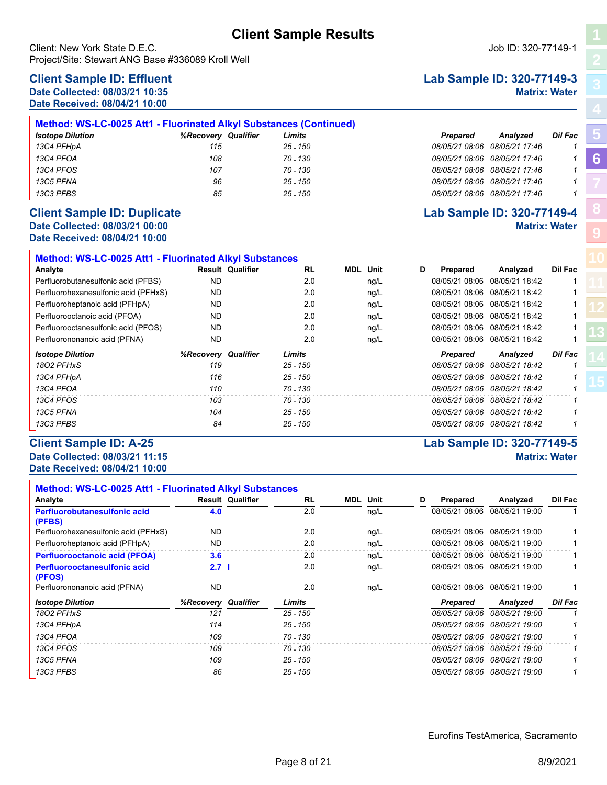Client: New York State D.E.C. Job ID: 320-77149-1 Project/Site: Stewart ANG Base #336089 Kroll Well

# **Client Sample ID: Effluent Lab Sample ID: 320-77149-3**

**Date Received: 08/04/21 10:00**

| Method: WS-LC-0025 Att1 - Fluorinated Alkyl Substances (Continued) |                               |            |          |                               |                |  |  |  |  |  |  |
|--------------------------------------------------------------------|-------------------------------|------------|----------|-------------------------------|----------------|--|--|--|--|--|--|
| <b>Isotope Dilution</b>                                            | Qualifier<br><b>%Recoverv</b> | Limits     | Prepared | <b>Analvzed</b>               | <b>Dil Fac</b> |  |  |  |  |  |  |
| 13C4 PFHpA                                                         | 115                           | 25 - 150   |          | 08/05/21 08:06 08/05/21 17:46 |                |  |  |  |  |  |  |
| 13C4 PFOA                                                          | 108                           | 70 - 130   |          | 08/05/21 08:06 08/05/21 17:46 |                |  |  |  |  |  |  |
| 13C4 PFOS                                                          | 107                           | 70 - 130   |          | 08/05/21 08:06 08/05/21 17:46 |                |  |  |  |  |  |  |
| 13C5 PFNA                                                          | 96                            | $25 - 150$ |          | 08/05/21 08:06 08/05/21 17:46 |                |  |  |  |  |  |  |
| 13C3 PFBS                                                          | 85                            | $25 - 150$ |          | 08/05/21 08:06 08/05/21 17:46 |                |  |  |  |  |  |  |

# **Date Received: 08/04/21 10:00**

| <b>Method: WS-LC-0025 Att1 - Fluorinated Alkyl Substances</b> |           |                         |            |     |      |   |                |                               |                |
|---------------------------------------------------------------|-----------|-------------------------|------------|-----|------|---|----------------|-------------------------------|----------------|
| Analyte                                                       |           | <b>Result Qualifier</b> | <b>RL</b>  | MDL | Unit | D | Prepared       | Analyzed                      | <b>Dil Fac</b> |
| Perfluorobutanesulfonic acid (PFBS)                           | ND.       |                         | 2.0        |     | ng/L |   |                | 08/05/21 08:06 08/05/21 18:42 |                |
| Perfluorohexanesulfonic acid (PFHxS)                          | ND.       |                         | 2.0        |     | ng/L |   | 08/05/21 08:06 | 08/05/21 18:42                |                |
| Perfluoroheptanoic acid (PFHpA)                               | ND.       |                         | 2.0        |     | ng/L |   |                | 08/05/21 08:06 08/05/21 18:42 |                |
| Perfluorooctanoic acid (PFOA)                                 | ND.       |                         | 2.0        |     | ng/L |   |                | 08/05/21 08:06 08/05/21 18:42 |                |
| Perfluorooctanesulfonic acid (PFOS)                           | ND.       |                         | 2.0        |     | ng/L |   |                | 08/05/21 08:06 08/05/21 18:42 |                |
| Perfluorononanoic acid (PFNA)                                 | <b>ND</b> |                         | 2.0        |     | ng/L |   |                | 08/05/21 08:06 08/05/21 18:42 |                |
| <b>Isotope Dilution</b>                                       | %Recovery | Qualifier               | Limits     |     |      |   | Prepared       | Analyzed                      | <b>Dil Fac</b> |
| 1802 PFHxS                                                    | 119       |                         | 25 - 150   |     |      |   | 08/05/21 08:06 | 08/05/21 18:42                | 1              |
| 13C4 PFHpA                                                    | 116       |                         | $25 - 150$ |     |      |   | 08/05/21 08:06 | 08/05/21 18:42                | 1              |
| 13C4 PFOA                                                     | 110       |                         | 70 - 130   |     |      |   | 08/05/21 08:06 | 08/05/21 18:42                |                |
| 13C4 PFOS                                                     | 103       |                         | 70 - 130   |     |      |   | 08/05/21 08:06 | 08/05/21 18:42                | 1              |
| 13C5 PFNA                                                     | 104       |                         | $25 - 150$ |     |      |   | 08/05/21 08:06 | 08/05/21 18:42                | 1              |
|                                                               |           |                         |            |     |      |   |                |                               |                |

#### **Client Sample ID: A-25 Lab Sample ID: 320-77149-5 Date Collected: 08/03/21 11:15 Matrix: Water**

**Date Received: 08/04/21 10:00**

| Method: WS-LC-0025 Att1 - Fluorinated Alkyl Substances |                     |                         |           |                 |   |                |                               |                |
|--------------------------------------------------------|---------------------|-------------------------|-----------|-----------------|---|----------------|-------------------------------|----------------|
| Analyte                                                |                     | <b>Result Qualifier</b> | <b>RL</b> | <b>MDL</b> Unit | D | Prepared       | Analyzed                      | Dil Fac        |
| Perfluorobutanesulfonic acid<br>(PFBS)                 | 4.0                 |                         | 2.0       | ng/L            |   | 08/05/21 08:06 | 08/05/21 19:00                |                |
| Perfluorohexanesulfonic acid (PFHxS)                   | <b>ND</b>           |                         | 2.0       | ng/L            |   | 08/05/21 08:06 | 08/05/21 19:00                |                |
| Perfluoroheptanoic acid (PFHpA)                        | ND.                 |                         | 2.0       | ng/L            |   |                | 08/05/21 08:06 08/05/21 19:00 |                |
| <b>Perfluorooctanoic acid (PFOA)</b>                   | 3.6                 |                         | 2.0       | ng/L            |   | 08/05/21 08:06 | 08/05/21 19:00                |                |
| <b>Perfluorooctanesulfonic acid</b><br>(PFOS)          | 2.7 <sub>1</sub>    |                         | 2.0       | ng/L            |   |                | 08/05/21 08:06 08/05/21 19:00 |                |
| Perfluorononanoic acid (PFNA)                          | <b>ND</b>           |                         | 2.0       | ng/L            |   | 08/05/21 08:06 | 08/05/21 19:00                |                |
| <b>Isotope Dilution</b>                                | %Recovery Qualifier |                         | Limits    |                 |   | Prepared       | Analyzed                      | <b>Dil Fac</b> |
| 1802 PFHxS                                             | 121                 |                         | 25 - 150  |                 |   | 08/05/21 08:06 | 08/05/21 19:00                | 1              |
| 13C4 PFHpA                                             | 114                 |                         | 25 - 150  |                 |   | 08/05/21 08:06 | 08/05/21 19:00                |                |
| 13C4 PFOA                                              | 109                 |                         | 70 - 130  |                 |   |                | 08/05/21 08:06 08/05/21 19:00 | 1              |
| 13C4 PFOS                                              | 109                 |                         | 70 - 130  |                 |   |                | 08/05/21 08:06 08/05/21 19:00 | 1              |
| 13C5 PFNA                                              | 109                 |                         | 25 - 150  |                 |   |                | 08/05/21 08:06 08/05/21 19:00 | 1              |
| 13C3 PFBS                                              | 86                  |                         | 25 - 150  |                 |   |                | 08/05/21 08:06 08/05/21 19:00 |                |

# **Date Collected: 08/03/21 10:35 Matrix: Water**

## **Client Sample ID: Duplicate Lab Sample ID: 320-77149-4 Date Collected: 08/03/21 00:00 Matrix: Water**

**[5](#page-5-0)**

**[6](#page-6-0)**

**[8](#page-11-0)**

**[9](#page-13-0)**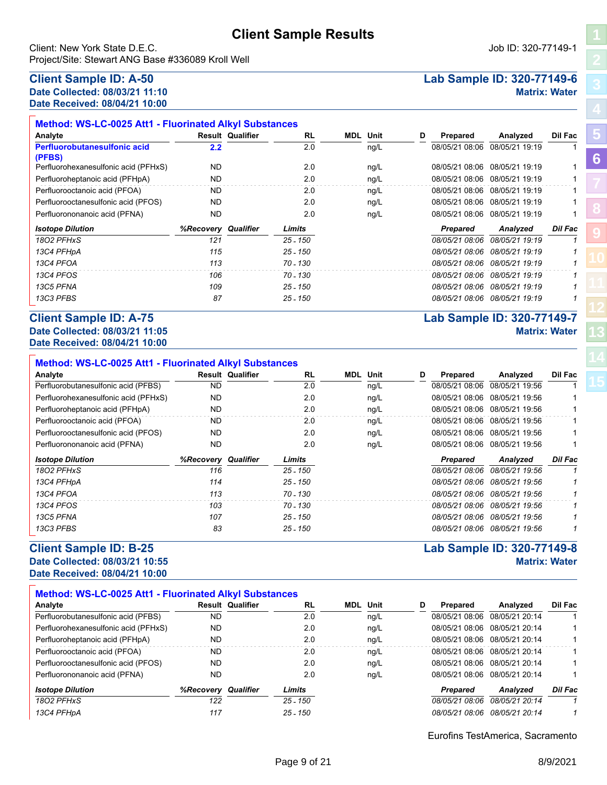**Analyte Result Qualifier Unit D Prepared Analyzed Dil Fac**

Perfluorohexanesulfonic acid (PFHxS)  $ND$  ND 2.0 ng/L 08/05/21 08:06 08/05/21 19:19 1 Perfluoroheptanoic acid (PFHpA) ND 2.0 ng/L 08/05/21 08:06 08/05/21 19:19 1 Perfluorooctanoic acid (PFOA) ND 2.0 ng/L 08/05/21 08:06 08/05/21 19:19 1 Perfluorooctanesulfonic acid (PFOS)  $ND$  ND 2.0 ng/L 08/05/21 08:06 08/05/21 19:19 1 Perfluorononanoic acid (PFNA) ND 2.0 ng/L 08/05/21 08:06 08/05/21 19:19 1

*18O2 PFHxS 121 25 - 150 08/05/21 08:06 08/05/21 19:19 1 Isotope Dilution %Recovery Qualifier Limits Prepared Analyzed Dil Fac*

*13C4 PFHpA 115 25 - 150 08/05/21 08:06 08/05/21 19:19 1 13C4 PFOA 113 70 - 130 08/05/21 08:06 08/05/21 19:19 1 13C4 PFOS 106 70 - 130 08/05/21 08:06 08/05/21 19:19 1 13C5 PFNA 109 25 - 150 08/05/21 08:06 08/05/21 19:19 1*

**RL MDL**

**2.2** 2.2  $\overline{2.0}$   $\overline{2.0}$   $\overline{1.09}$   $\overline{1.09}$   $\overline{1.09}$   $\overline{1.08}$   $\overline{1.08}$   $\overline{1.08}$   $\overline{1.08}$   $\overline{1.08}$   $\overline{1.08}$   $\overline{1.08}$   $\overline{1.08}$   $\overline{1.08}$   $\overline{1.08}$   $\overline{1.08}$   $\overline{1.08}$   $\overline{1.08$ 

Client: New York State D.E.C. Job ID: 320-77149-1 Project/Site: Stewart ANG Base #336089 Kroll Well

**Method: WS-LC-0025 Att1 - Fluorinated Alkyl Substances**

#### **Client Sample ID: A-50 Lab Sample ID: 320-77149-6 Date Collected: 08/03/21 11:10 Matrix: Water Date Received: 08/04/21 10:00**

**Perfluorobutanesulfonic acid** 

**(PFBS)**

# *13C3 PFBS 87 25 - 150 08/05/21 08:06 08/05/21 19:19 1* **Client Sample ID: A-75 Lab Sample ID: 320-77149-7**

| Date Collected: 08/03/21 11:05<br>Date Received: 08/04/21 10:00 |                            |                         |            |  |                 |   |                |                               | <b>Matrix: Water</b> |
|-----------------------------------------------------------------|----------------------------|-------------------------|------------|--|-----------------|---|----------------|-------------------------------|----------------------|
| <b>Method: WS-LC-0025 Att1 - Fluorinated Alkyl Substances</b>   |                            |                         |            |  |                 |   |                |                               |                      |
| Analyte                                                         |                            | <b>Result Qualifier</b> | <b>RL</b>  |  | <b>MDL</b> Unit | D | Prepared       | Analyzed                      | Dil Fac              |
| Perfluorobutanesulfonic acid (PFBS)                             | ND.                        |                         | 2.0        |  | ng/L            |   | 08/05/21 08:06 | 08/05/21 19:56                |                      |
| Perfluorohexanesulfonic acid (PFHxS)                            | <b>ND</b>                  |                         | 2.0        |  | ng/L            |   | 08/05/21 08:06 | 08/05/21 19:56                |                      |
| Perfluoroheptanoic acid (PFHpA)                                 | ND.                        |                         | 2.0        |  | ng/L            |   | 08/05/21 08:06 | 08/05/21 19:56                |                      |
| Perfluorooctanoic acid (PFOA)                                   | ND.                        |                         | 2.0        |  | ng/L            |   | 08/05/21 08:06 | 08/05/21 19:56                |                      |
| Perfluorooctanesulfonic acid (PFOS)                             | ND.                        |                         | 2.0        |  | ng/L            |   |                | 08/05/21 08:06 08/05/21 19:56 |                      |
| Perfluorononanoic acid (PFNA)                                   | ND.                        |                         | 2.0        |  | ng/L            |   | 08/05/21 08:06 | 08/05/21 19:56                |                      |
| <b>Isotope Dilution</b>                                         | <b>%Recovery Qualifier</b> |                         | Limits     |  |                 |   | Prepared       | Analyzed                      | <b>Dil Fac</b>       |
| 1802 PFHxS                                                      | 116                        |                         | 25 - 150   |  |                 |   | 08/05/21 08:06 | 08/05/21 19:56                |                      |
| 13C4 PFHpA                                                      | 114                        |                         | $25 - 150$ |  |                 |   |                | 08/05/21 08:06 08/05/21 19:56 |                      |
| 13C4 PFOA                                                       | 113                        |                         | $70 - 130$ |  |                 |   | 08/05/21 08:06 | 08/05/21 19:56                |                      |
| 13C4 PFOS                                                       | 103                        |                         | 70 - 130   |  |                 |   | 08/05/21 08:06 | 08/05/21 19:56                |                      |
| 13C5 PFNA                                                       | 107                        |                         | 25 - 150   |  |                 |   |                | 08/05/21 08:06 08/05/21 19:56 |                      |

#### **Client Sample ID: B-25 Lab Sample ID: 320-77149-8 Date Collected: 08/03/21 10:55 Matrix: Water**

# **Date Received: 08/04/21 10:00**

 $\Box$ 

| Method: WS-LC-0025 Att1 - Fluorinated Alkyl Substances |                  |                         |            |  |                 |   |                 |                               |         |  |  |  |
|--------------------------------------------------------|------------------|-------------------------|------------|--|-----------------|---|-----------------|-------------------------------|---------|--|--|--|
| Analyte                                                |                  | <b>Result Qualifier</b> | <b>RL</b>  |  | <b>MDL</b> Unit | D | <b>Prepared</b> | Analyzed                      | Dil Fac |  |  |  |
| Perfluorobutanesulfonic acid (PFBS)                    | <b>ND</b>        |                         | 2.0        |  | ng/L            |   |                 | 08/05/21 08:06 08/05/21 20:14 |         |  |  |  |
| Perfluorohexanesulfonic acid (PFHxS)                   | ND.              |                         | 2.0        |  | ng/L            |   |                 | 08/05/21 08:06 08/05/21 20:14 |         |  |  |  |
| Perfluoroheptanoic acid (PFHpA)                        | <b>ND</b>        |                         | 2.0        |  | ng/L            |   |                 | 08/05/21 08:06 08/05/21 20:14 |         |  |  |  |
| Perfluorooctanoic acid (PFOA)                          | ND.              |                         | 2.0        |  | nq/L            |   |                 | 08/05/21 08:06 08/05/21 20:14 |         |  |  |  |
| Perfluorooctanesulfonic acid (PFOS)                    | ND.              |                         | 2.0        |  | ng/L            |   |                 | 08/05/21 08:06 08/05/21 20:14 |         |  |  |  |
| Perfluorononanoic acid (PFNA)                          | ND.              |                         | 2.0        |  | ng/L            |   |                 | 08/05/21 08:06 08/05/21 20:14 |         |  |  |  |
| <b>Isotope Dilution</b>                                | <b>%Recovery</b> | Qualifier               | Limits     |  |                 |   | <b>Prepared</b> | Analyzed                      | Dil Fac |  |  |  |
| 1802 PFHxS                                             | 122              |                         | $25 - 150$ |  |                 |   | 08/05/21 08:06  | 08/05/21 20:14                |         |  |  |  |
| 13C4 PFHpA                                             | 117              |                         | $25 - 150$ |  |                 |   | 08/05/21 08:06  | 08/05/21 20:14                |         |  |  |  |

*13C3 PFBS 83 25 - 150 08/05/21 08:06 08/05/21 19:56 1*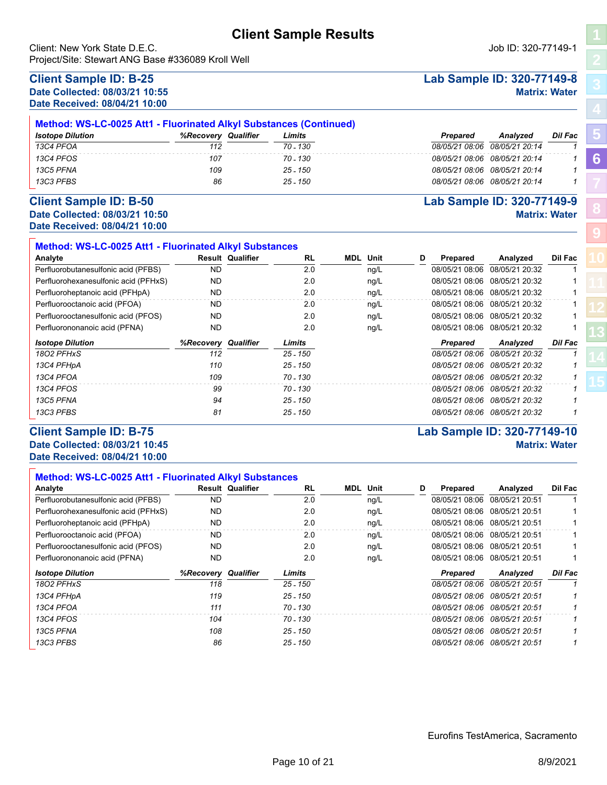Client: New York State D.E.C. Job ID: 320-77149-1 Project/Site: Stewart ANG Base #336089 Kroll Well

#### **Client Sample ID: B-25 Lab Sample ID: 320-77149-8 Date Collected: 08/03/21 10:55 Matrix: Water Date Received: 08/04/21 10:00**

|                         | Method: WS-LC-0025 Att1 - Fluorinated Alkyl Substances (Continued) |          |                 |                               |         |  |  |  |  |  |  |  |
|-------------------------|--------------------------------------------------------------------|----------|-----------------|-------------------------------|---------|--|--|--|--|--|--|--|
| <b>Isotope Dilution</b> | Qualifier<br>%Recoverv                                             | Limits   | <b>Prepared</b> | <b>Analvzed</b>               | Dil Fac |  |  |  |  |  |  |  |
| 13C4 PFOA               | 112                                                                | 70 - 130 |                 | 08/05/21 08:06 08/05/21 20:14 |         |  |  |  |  |  |  |  |
| 13C4 PFOS               | 107                                                                | 70 - 130 |                 | 08/05/21 08:06 08/05/21 20:14 |         |  |  |  |  |  |  |  |
| 13C5 PFNA               | 109                                                                | 25 - 150 |                 | 08/05/21 08:06 08/05/21 20:14 |         |  |  |  |  |  |  |  |
| 13C3 PFBS               | 86                                                                 | 25 - 150 |                 | 08/05/21 08:06 08/05/21 20:14 |         |  |  |  |  |  |  |  |

#### **Client Sample ID: B-50 Lab Sample ID: 320-77149-9 Date Collected: 08/03/21 10:50 Matrix: Water Date Received: 08/04/21 10:00**

| Method: WS-LC-0025 Att1 - Fluorinated Alkyl Substances |                            |                         |           |                 |   |                |                               |         |
|--------------------------------------------------------|----------------------------|-------------------------|-----------|-----------------|---|----------------|-------------------------------|---------|
| Analyte                                                |                            | <b>Result Qualifier</b> | <b>RL</b> | <b>MDL</b> Unit | D | Prepared       | Analyzed                      | Dil Fac |
| Perfluorobutanesulfonic acid (PFBS)                    | ND.                        |                         | 2.0       | ng/L            |   | 08/05/21 08:06 | 08/05/21 20:32                |         |
| Perfluorohexanesulfonic acid (PFHxS)                   | ND.                        |                         | 2.0       | ng/L            |   | 08/05/21 08:06 | 08/05/21 20:32                |         |
| Perfluoroheptanoic acid (PFHpA)                        | ND.                        |                         | 2.0       | ng/L            |   | 08/05/21 08:06 | 08/05/21 20:32                |         |
| Perfluorooctanoic acid (PFOA)                          | ND.                        |                         | 2.0       | ng/L            |   | 08/05/21 08:06 | 08/05/21 20:32                |         |
| Perfluorooctanesulfonic acid (PFOS)                    | ND.                        |                         | 2.0       | ng/L            |   | 08/05/21 08:06 | 08/05/21 20:32                |         |
| Perfluorononanoic acid (PFNA)                          | ND.                        |                         | 2.0       | ng/L            |   | 08/05/21 08:06 | 08/05/21 20:32                |         |
| <b>Isotope Dilution</b>                                | <b>%Recovery Qualifier</b> |                         | Limits    |                 |   | Prepared       | Analyzed                      | Dil Fac |
| 1802 PFHxS                                             | 112                        |                         | 25 - 150  |                 |   | 08/05/21 08:06 | 08/05/21 20:32                |         |
| 13C4 PFHpA                                             | 110                        |                         | 25 - 150  |                 |   | 08/05/21 08:06 | 08/05/21 20:32                |         |
| 13C4 PFOA                                              | 109                        |                         | 70 - 130  |                 |   | 08/05/21 08:06 | 08/05/21 20:32                |         |
| 13C4 PFOS                                              | 99                         |                         | 70 - 130  |                 |   | 08/05/21 08:06 | 08/05/21 20:32                |         |
| 13C5 PFNA                                              | 94                         |                         | 25 - 150  |                 |   |                | 08/05/21 08:06 08/05/21 20:32 |         |
| 13C3 PFBS                                              | 81                         |                         | 25 - 150  |                 |   | 08/05/21 08:06 | 08/05/21 20:32                |         |

# **Client Sample ID: B-75 Lab Sample ID: 320-77149-10**

#### **Date Collected: 08/03/21 10:45 Matrix: Water Date Received: 08/04/21 10:00**

| <b>Method: WS-LC-0025 Att1 - Fluorinated Alkyl Substances</b> |                            |                         |            |     |      |   |                |                |         |
|---------------------------------------------------------------|----------------------------|-------------------------|------------|-----|------|---|----------------|----------------|---------|
| Analyte                                                       |                            | <b>Result Qualifier</b> | <b>RL</b>  | MDL | Unit | D | Prepared       | Analyzed       | Dil Fac |
| Perfluorobutanesulfonic acid (PFBS)                           | <b>ND</b>                  |                         | 2.0        |     | ng/L |   | 08/05/21 08:06 | 08/05/21 20:51 |         |
| Perfluorohexanesulfonic acid (PFHxS)                          | <b>ND</b>                  |                         | 2.0        |     | ng/L |   | 08/05/21 08:06 | 08/05/21 20:51 |         |
| Perfluoroheptanoic acid (PFHpA)                               | <b>ND</b>                  |                         | 2.0        |     | ng/L |   | 08/05/21 08:06 | 08/05/21 20:51 |         |
| Perfluorooctanoic acid (PFOA)                                 | <b>ND</b>                  |                         | 2.0        |     | ng/L |   | 08/05/21 08:06 | 08/05/21 20:51 |         |
| Perfluorooctanesulfonic acid (PFOS)                           | <b>ND</b>                  |                         | 2.0        |     | ng/L |   | 08/05/21 08:06 | 08/05/21 20:51 |         |
| Perfluorononanoic acid (PFNA)                                 | <b>ND</b>                  |                         | 2.0        |     | ng/L |   | 08/05/21 08:06 | 08/05/21 20:51 |         |
| <b>Isotope Dilution</b>                                       | <b>%Recovery Qualifier</b> |                         | Limits     |     |      |   | Prepared       | Analyzed       | Dil Fac |
| 1802 PFHxS                                                    | 118                        |                         | 25 - 150   |     |      |   | 08/05/21 08:06 | 08/05/21 20:51 |         |
| 13C4 PFHpA                                                    | 119                        |                         | 25 - 150   |     |      |   | 08/05/21 08:06 | 08/05/21 20:51 |         |
| 13C4 PFOA                                                     | 111                        |                         | 70 - 130   |     |      |   | 08/05/21 08:06 | 08/05/21 20:51 |         |
| 13C4 PFOS                                                     | 104                        |                         | 70 - 130   |     |      |   | 08/05/21 08:06 | 08/05/21 20:51 |         |
| 13C5 PFNA                                                     | 108                        |                         | 25 - 150   |     |      |   | 08/05/21 08:06 | 08/05/21 20:51 |         |
| 13C3 PFBS                                                     | 86                         |                         | $25 - 150$ |     |      |   | 08/05/21 08:06 | 08/05/21 20:51 |         |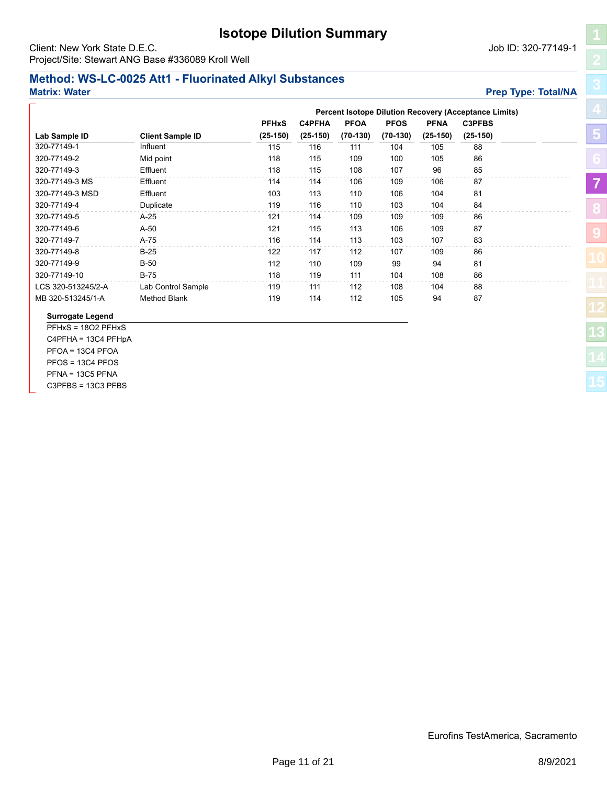# **Isotope Dilution Summary**

**PFHxS C4PFHA PFOA PFOS PFNA C3PFBS**

**Lab Sample ID Client Sample ID (25-150) (25-150) (70-130) (70-130) (25-150) (25-150)**

320-77149-1 115 116 111 104 105 88

320-77149-2 Mid point 118 115 109 100 105 86 320-77149-3 Effluent 118 115 108 107 96 85 320-77149-3 MS Effluent 114 114 106 109 106 87 320-77149-3 MSD Effluent 103 113 110 106 104 81 320-77149-4 Duplicate 119 116 110 103 104 84 320-77149-5 A-25 121 114 109 109 109 86 320-77149-6 A-50 121 115 113 106 109 87 320-77149-7 A-75 116 114 113 103 107 83 320-77149-8 B-25 122 117 112 107 109 86 320-77149-9 B-50 112 110 109 99 94 81 320-77149-10 B-75 118 119 111 104 108 86 LCS 320-513245/2-A Lab Control Sample 119 111 112 108 104 88 MB 320-513245/1-A Method Blank 119 114 112 105 94 87

<span id="page-10-0"></span>Client: New York State D.E.C. Job ID: 320-77149-1 Project/Site: Stewart ANG Base #336089 Kroll Well

**Influent** 

#### **Method: WS-LC-0025 Att1 - Fluorinated Alkyl Substances Matrix: Water Preparation Controllering Controllering Controllering Controllering Controllering Controllering Controllering Controllering Controllering Controllering Controllering Controllering Controllering Controlleri**

**Surrogate Legend** PFHxS = 18O2 PFHxS C4PFHA = 13C4 PFHpA PFOA = 13C4 PFOA PFOS = 13C4 PFOS PFNA = 13C5 PFNA C3PFBS = 13C3 PFBS

| FHA  | <b>PFOA</b> | <b>PFOS</b> | <b>PFNA</b> | <b>C3PFBS</b> |  |
|------|-------------|-------------|-------------|---------------|--|
| 150) | $(70-130)$  | $(70-130)$  | $(25-150)$  | $(25-150)$    |  |
| 16   | 111         | 104         | 105         | 88            |  |
| 15   | 109         | 100         | 105         | 86            |  |
| 15   | 108         | 107         | 96          | 85            |  |
| 14   | 106         | 109         | 106         | 87            |  |
| 13   | 110         | 106         | 104         | 81            |  |
| 16   | 110         | 103         | 104         | 84            |  |
| 14   | 109         | 109         | 109         | 86            |  |
| 15   | 113         | 106         | 109         | 87            |  |
| 14   | 113         | 103         | 107         | 83            |  |
| 17   | 112         | 107         | 109         | 86            |  |
| 10   | 109         | 99          | 94          | 81            |  |
| 19   | 111         | 104         | 108         | 86            |  |
| 11   | 112         | 108         | 104         | 88            |  |
| 14   | 112         | 105         | 94          | 87            |  |
|      |             |             |             |               |  |
|      |             |             |             |               |  |
|      |             |             |             |               |  |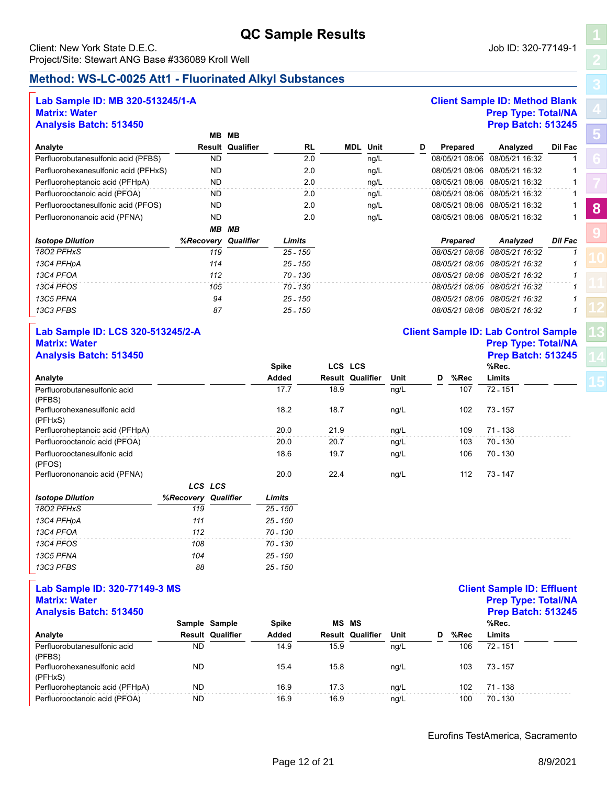# **QC Sample Results**

#### <span id="page-11-0"></span>Client: New York State D.E.C. Job ID: 320-77149-1 Project/Site: Stewart ANG Base #336089 Kroll Well

# **Method: WS-LC-0025 Att1 - Fluorinated Alkyl Substances**

#### **Lab Sample ID: MB 320-513245/1-A Client Sample ID: Method Blank Matrix: Water Prep Type: Total/NA Analysis Batch: 513450 Prep Batch: 513245**

|                                      | MВ                  | MВ                      |            |            |      |   |                 |                               |                |
|--------------------------------------|---------------------|-------------------------|------------|------------|------|---|-----------------|-------------------------------|----------------|
| Analyte                              |                     | <b>Result Qualifier</b> | <b>RL</b>  | <b>MDL</b> | Unit | D | Prepared        | Analyzed                      | Dil Fac        |
| Perfluorobutanesulfonic acid (PFBS)  | <b>ND</b>           |                         | 2.0        |            | ng/L |   | 08/05/21 08:06  | 08/05/21 16:32                |                |
| Perfluorohexanesulfonic acid (PFHxS) | <b>ND</b>           |                         | 2.0        |            | ng/L |   |                 | 08/05/21 08:06 08/05/21 16:32 |                |
| Perfluoroheptanoic acid (PFHpA)      | <b>ND</b>           |                         | 2.0        |            | ng/L |   |                 | 08/05/21 08:06 08/05/21 16:32 |                |
| Perfluorooctanoic acid (PFOA)        | ND.                 |                         | 2.0        |            | ng/L |   |                 | 08/05/21 08:06 08/05/21 16:32 |                |
| Perfluorooctanesulfonic acid (PFOS)  | ND.                 |                         | 2.0        |            | ng/L |   |                 | 08/05/21 08:06 08/05/21 16:32 |                |
| Perfluorononanoic acid (PFNA)        | <b>ND</b>           |                         | 2.0        |            | ng/L |   |                 | 08/05/21 08:06 08/05/21 16:32 |                |
|                                      | MВ                  | MВ                      |            |            |      |   |                 |                               |                |
| <b>Isotope Dilution</b>              | %Recovery Qualifier |                         | Limits     |            |      |   | <b>Prepared</b> | Analyzed                      | <b>Dil Fac</b> |
| 1802 PFHxS                           | 119                 |                         | $25 - 150$ |            |      |   | 08/05/21 08:06  | 08/05/21 16:32                |                |
| 13C4 PFHpA                           | 114                 |                         | $25 - 150$ |            |      |   | 08/05/21 08:06  | 08/05/21 16:32                | 1              |
| 13C4 PFOA                            | 112                 |                         | 70 - 130   |            |      |   | 08/05/21 08:06  | 08/05/21 16:32                |                |
| 13C4 PFOS                            | 105                 |                         | 70 - 130   |            |      |   | 08/05/21 08:06  | 08/05/21 16:32                |                |
| 13C5 PFNA                            | 94                  |                         | 25 - 150   |            |      |   | 08/05/21 08:06  | 08/05/21 16:32                | 1              |
| 13C3 PFBS                            | 87                  |                         | $25 - 150$ |            |      |   |                 | 08/05/21 08:06 08/05/21 16:32 |                |

#### **Lab Sample ID: LCS 320-513245/2-A Client Sample ID: Lab Control Sample Matrix: Water Prep Type: Total/NA Analysis Batch: 513450**

|                                         | <b>Spike</b> |      | LCS LCS                 |      |   |      | %Rec.    |  |
|-----------------------------------------|--------------|------|-------------------------|------|---|------|----------|--|
| Analyte                                 | Added        |      | <b>Result Qualifier</b> | Unit | D | %Rec | Limits   |  |
| Perfluorobutanesulfonic acid<br>(PFBS)  | 17.7         | 18.9 |                         | ng/L |   | 107  | 72 - 151 |  |
| Perfluorohexanesulfonic acid<br>(PFHxS) | 18.2         | 18.7 |                         | ng/L |   | 102  | 73 - 157 |  |
| Perfluoroheptanoic acid (PFHpA)         | 20.0         | 21.9 |                         | ng/L |   | 109  | 71 - 138 |  |
| Perfluorooctanoic acid (PFOA)           | 20.0         | 20.7 |                         | ng/L |   | 103  | 70 - 130 |  |
| Perfluorooctanesulfonic acid<br>(PFOS)  | 18.6         | 19.7 |                         | ng/L |   | 106  | 70 - 130 |  |
| Perfluorononanoic acid (PFNA)           | 20.0         | 22.4 |                         | ng/L |   | 112  | 73 - 147 |  |
|                                         | LCS LCS      |      |                         |      |   |      |          |  |

| <b>Isotope Dilution</b> | <b>%Recovery Qualifier</b> | Limits     |
|-------------------------|----------------------------|------------|
| 1802 PFHxS              | 119                        | 25 - 150   |
| 13C4 PFHpA              | 111                        | $25 - 150$ |
| 13C4 PFOA               | 112                        | $70 - 130$ |
| 13C4 PFOS               | 108                        | 70 - 130   |
| 13C5 PFNA               | 104                        | 25 - 150   |
| 13C3 PFBS               | 88                         | $25 - 150$ |

# **Lab Sample ID: 320-77149-3 MS Client Sample ID: Effluent Matrix: Water Prep Type: Total/NA**

| <b>Analysis Batch: 513450</b>           |           |                         |       |      |                         |      |   |      | <b>Prep Batch: 513245</b> |
|-----------------------------------------|-----------|-------------------------|-------|------|-------------------------|------|---|------|---------------------------|
|                                         |           | Sample Sample           | Spike |      | <b>MS MS</b>            |      |   |      | %Rec.                     |
| Analyte                                 |           | <b>Result Qualifier</b> | Added |      | <b>Result Qualifier</b> | Unit | D | %Rec | Limits                    |
| Perfluorobutanesulfonic acid<br>(PFBS)  | <b>ND</b> |                         | 14.9  | 15.9 |                         | nq/L |   | 106  | $72 - 151$                |
| Perfluorohexanesulfonic acid<br>(PFHxS) | <b>ND</b> |                         | 15.4  | 15.8 |                         | nq/L |   | 103  | 73 - 157                  |
| Perfluoroheptanoic acid (PFHpA)         | <b>ND</b> |                         | 16.9  | 17.3 |                         | na/L |   | 102  | 71 - 138                  |
| Perfluorooctanoic acid (PFOA)           | ND.       |                         | 16.9  | 16.9 |                         | nq/L |   | 100  | 70 - 130                  |

Eurofins TestAmerica, Sacramento

**[13](#page-18-0)**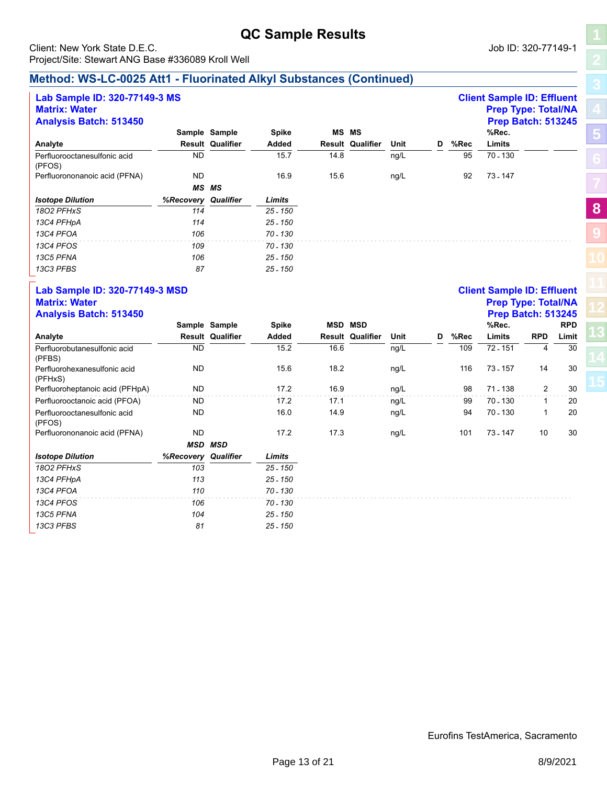# **QC Sample Results** Client: New York State D.E.C. **Community** Client: New York State D.E.C.

Project/Site: Stewart ANG Base #336089 Kroll Well

## **Method: WS-LC-0025 Att1 - Fluorinated Alkyl Substances (Continued)**

| Lab Sample ID: 320-77149-3 MS<br><b>Matrix: Water</b><br><b>Analysis Batch: 513450</b> |                     |                         |              |      |                         |      |   |      | <b>Client Sample ID: Effluent</b><br><b>Prep Type: Total/NA</b><br><b>Prep Batch: 513245</b> |
|----------------------------------------------------------------------------------------|---------------------|-------------------------|--------------|------|-------------------------|------|---|------|----------------------------------------------------------------------------------------------|
|                                                                                        |                     | Sample Sample           | <b>Spike</b> |      | <b>MS MS</b>            |      |   |      | %Rec.                                                                                        |
| Analyte                                                                                |                     | <b>Result Qualifier</b> | Added        |      | <b>Result Qualifier</b> | Unit | D | %Rec | Limits                                                                                       |
| Perfluorooctanesulfonic acid<br>(PFOS)                                                 | <b>ND</b>           |                         | 15.7         | 14.8 |                         | ng/L |   | 95   | 70 - 130                                                                                     |
| Perfluorononanoic acid (PFNA)                                                          | <b>ND</b>           |                         | 16.9         | 15.6 |                         | ng/L |   | 92   | 73 - 147                                                                                     |
|                                                                                        |                     | <b>MS MS</b>            |              |      |                         |      |   |      |                                                                                              |
| <b>Isotope Dilution</b>                                                                | %Recovery Qualifier |                         | Limits       |      |                         |      |   |      |                                                                                              |
| 1802 PFHxS                                                                             | 114                 |                         | $25 - 150$   |      |                         |      |   |      |                                                                                              |
| 13C4 PFHpA                                                                             | 114                 |                         | $25 - 150$   |      |                         |      |   |      |                                                                                              |
| 13C4 PFOA                                                                              | 106                 |                         | 70 - 130     |      |                         |      |   |      |                                                                                              |
| 13C4 PFOS                                                                              | 109                 |                         | 70 - 130     |      |                         |      |   |      |                                                                                              |
| 13C5 PFNA                                                                              | 106                 |                         | $25 - 150$   |      |                         |      |   |      |                                                                                              |
| 13C3 PFBS                                                                              | 87                  |                         | 25 - 150     |      |                         |      |   |      |                                                                                              |

# **Lab Sample ID: 320-77149-3 MSD Client Sample ID: Effluent**

| <b>Analysis Batch: 513450</b>           |                     |                         |            |      |                         |      |   |      | <b>Prep Batch: 513245</b> |            |            |
|-----------------------------------------|---------------------|-------------------------|------------|------|-------------------------|------|---|------|---------------------------|------------|------------|
|                                         |                     | Sample Sample           | Spike      | MSD  | <b>MSD</b>              |      |   |      | %Rec.                     |            | <b>RPD</b> |
| Analyte                                 |                     | <b>Result Qualifier</b> | Added      |      | <b>Result Qualifier</b> | Unit | D | %Rec | Limits                    | <b>RPD</b> | Limit      |
| Perfluorobutanesulfonic acid<br>(PFBS)  | <b>ND</b>           |                         | 15.2       | 16.6 |                         | ng/L |   | 109  | 72 - 151                  | 4          | 30         |
| Perfluorohexanesulfonic acid<br>(PFHxS) | ND.                 |                         | 15.6       | 18.2 |                         | ng/L |   | 116  | 73 - 157                  | 14         | 30         |
| Perfluoroheptanoic acid (PFHpA)         | ND.                 |                         | 17.2       | 16.9 |                         | ng/L |   | 98   | 71 - 138                  | 2          | 30         |
| Perfluorooctanoic acid (PFOA)           | ND.                 |                         | 17.2       | 17.1 |                         | ng/L |   | 99   | 70 - 130                  | 1          | 20         |
| Perfluorooctanesulfonic acid<br>(PFOS)  | <b>ND</b>           |                         | 16.0       | 14.9 |                         | ng/L |   | 94   | 70 - 130                  | 1          | 20         |
| Perfluorononanoic acid (PFNA)           | ND.                 |                         | 17.2       | 17.3 |                         | ng/L |   | 101  | 73 - 147                  | 10         | 30         |
|                                         |                     | <b>MSD MSD</b>          |            |      |                         |      |   |      |                           |            |            |
| <b>Isotope Dilution</b>                 | %Recovery Qualifier |                         | Limits     |      |                         |      |   |      |                           |            |            |
| 1802 PFHxS                              | 103                 |                         | $25 - 150$ |      |                         |      |   |      |                           |            |            |
| 13C4 PFHpA                              | 113                 |                         | $25 - 150$ |      |                         |      |   |      |                           |            |            |
| 13C4 PFOA                               | 110                 |                         | 70 - 130   |      |                         |      |   |      |                           |            |            |
| 13C4 PFOS                               | 106                 |                         | 70 - 130   |      |                         |      |   |      |                           |            |            |
| 13C5 PFNA                               | 104                 |                         | $25 - 150$ |      |                         |      |   |      |                           |            |            |
| 13C3 PFBS                               | 81                  |                         | $25 - 150$ |      |                         |      |   |      |                           |            |            |

# **Prep Type: Total/NA**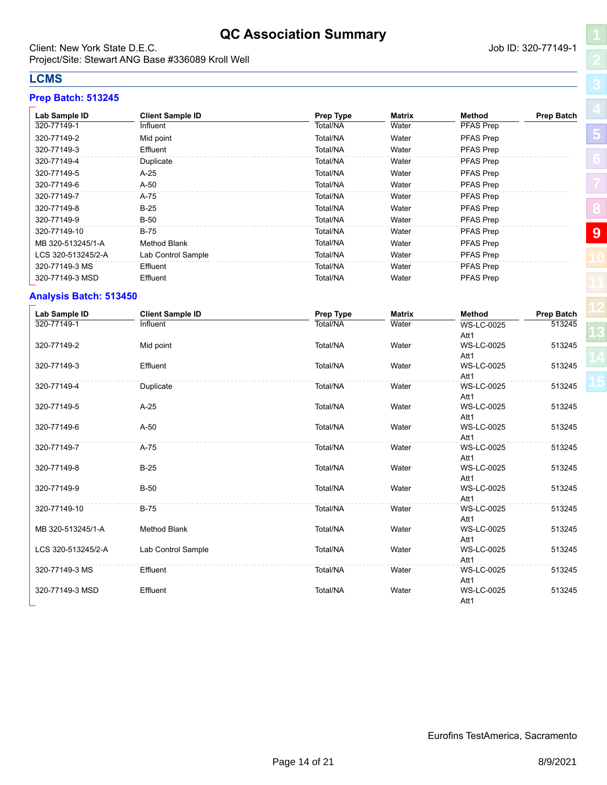# **QC Association Summary**

<span id="page-13-0"></span>Client: New York State D.E.C. **Community** Client: New York State D.E.C. Project/Site: Stewart ANG Base #336089 Kroll Well

# **LCMS**

#### **Prep Batch: 513245**

| Lab Sample ID      | <b>Client Sample ID</b> | <b>Prep Type</b> | <b>Matrix</b> | Method           | <b>Prep Batch</b> |
|--------------------|-------------------------|------------------|---------------|------------------|-------------------|
| 320-77149-1        | Influent                | Total/NA         | Water         | PFAS Prep        |                   |
| 320-77149-2        | Mid point               | Total/NA         | Water         | <b>PFAS Prep</b> |                   |
| 320-77149-3        | Effluent                | Total/NA         | Water         | PFAS Prep        |                   |
| 320-77149-4        | Duplicate               | Total/NA         | Water         | <b>PFAS Prep</b> |                   |
| 320-77149-5        | A-25                    | Total/NA         | Water         | <b>PFAS Prep</b> |                   |
| 320-77149-6        | $A-50$                  | Total/NA         | Water         | <b>PFAS Prep</b> |                   |
| 320-77149-7        | A-75                    | Total/NA         | Water         | <b>PFAS Prep</b> |                   |
| 320-77149-8        | $B-25$                  | Total/NA         | Water         | <b>PFAS Prep</b> |                   |
| 320-77149-9        | $B-50$                  | Total/NA         | Water         | <b>PFAS Prep</b> |                   |
| 320-77149-10       | B-75                    | Total/NA         | Water         | <b>PFAS Prep</b> |                   |
| MB 320-513245/1-A  | <b>Method Blank</b>     | Total/NA         | Water         | <b>PFAS Prep</b> |                   |
| LCS 320-513245/2-A | Lab Control Sample      | Total/NA         | Water         | <b>PFAS Prep</b> |                   |
| 320-77149-3 MS     | Effluent                | Total/NA         | Water         | <b>PFAS Prep</b> |                   |
| 320-77149-3 MSD    | Effluent                | Total/NA         | Water         | <b>PFAS Prep</b> |                   |

#### **Analysis Batch: 513450**

| Lab Sample ID      | <b>Client Sample ID</b> | Prep Type | <b>Matrix</b> | <b>Method</b>             | Prep Batch |
|--------------------|-------------------------|-----------|---------------|---------------------------|------------|
| 320-77149-1        | Influent                | Total/NA  | Water         | <b>WS-LC-0025</b><br>Att1 | 513245     |
| 320-77149-2        | Mid point               | Total/NA  | Water         | <b>WS-LC-0025</b><br>Att1 | 513245     |
| 320-77149-3        | Effluent                | Total/NA  | Water         | <b>WS-LC-0025</b><br>Att1 | 513245     |
| 320-77149-4        | Duplicate               | Total/NA  | Water         | <b>WS-LC-0025</b><br>Att1 | 513245     |
| 320-77149-5        | $A-25$                  | Total/NA  | Water         | <b>WS-LC-0025</b><br>Att1 | 513245     |
| 320-77149-6        | $A-50$                  | Total/NA  | Water         | <b>WS-LC-0025</b><br>Att1 | 513245     |
| 320-77149-7        | $A-75$                  | Total/NA  | Water         | <b>WS-LC-0025</b><br>Att1 | 513245     |
| 320-77149-8        | $B-25$                  | Total/NA  | Water         | <b>WS-LC-0025</b><br>Att1 | 513245     |
| 320-77149-9        | <b>B-50</b>             | Total/NA  | Water         | <b>WS-LC-0025</b><br>Att1 | 513245     |
| 320-77149-10       | <b>B-75</b>             | Total/NA  | Water         | <b>WS-LC-0025</b><br>Att1 | 513245     |
| MB 320-513245/1-A  | <b>Method Blank</b>     | Total/NA  | Water         | <b>WS-LC-0025</b><br>Att1 | 513245     |
| LCS 320-513245/2-A | Lab Control Sample      | Total/NA  | Water         | <b>WS-LC-0025</b><br>Att1 | 513245     |
| 320-77149-3 MS     | Effluent                | Total/NA  | Water         | <b>WS-LC-0025</b><br>Att1 | 513245     |
| 320-77149-3 MSD    | Effluent                | Total/NA  | Water         | <b>WS-LC-0025</b><br>Att1 | 513245     |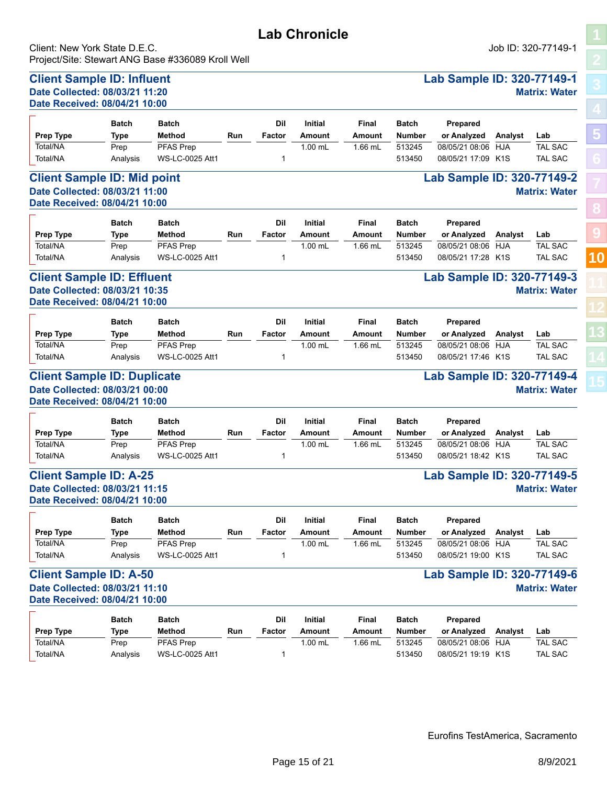<span id="page-14-0"></span>Client: New York State D.E.C. Job ID: 320-77149-1 Project/Site: Stewart ANG Base #336089 Kroll Well

> **Method Batch**

**Method Batch**

**Method Batch**

Total/NA Prep PFAS Prep 1.00 mL 1.66 mL

**Date Received: 08/04/21 10:00**

**Date Received: 08/04/21 10:00**

**Date Received: 08/04/21 10:00**

**Type Batch**

**Type Batch**

**Type Batch**

Total/NA Prep PFAS Prep

Total/NA Prep PFAS Prep

**Prepared or Analyzed**

**Prepared or Analyzed**

**Prepared or Analyzed** **[5](#page-5-0) [8](#page-11-0) [9](#page-13-0)**

**[10](#page-14-0)**

#### **Client Sample ID: Duplicate Lab Sample ID: 320-77149-4 Date Collected: 08/03/21 00:00 Matrix: Water Date Received: 08/04/21 10:00**

| <b>Prep Type</b> | <b>Batch</b><br>Type | <b>Batch</b><br>Method | Run | Dil<br>Factor | <b>Initial</b><br>Amount | Final<br>Amount | <b>Batch</b><br><b>Number</b> | <b>Prepared</b><br>or Analyzed | Analvst | Lab            |
|------------------|----------------------|------------------------|-----|---------------|--------------------------|-----------------|-------------------------------|--------------------------------|---------|----------------|
| Total/NA         | Prep                 | <b>PFAS Prep</b>       |     |               | $1.00$ mL                | 1.66 mL         | 513245                        | 08/05/21 08:06 HJA             |         | <b>TAL SAC</b> |
| Total/NA         | Analvsis             | <b>WS-LC-0025 Att1</b> |     |               |                          |                 | 513450                        | 08/05/21 18:42 K1S             |         | <b>TAL SAC</b> |

**Lab Chronicle**

**Client Sample ID: Influent Lab Sample ID: 320-77149-1 Date Collected: 08/03/21 11:20 Matrix: Water**

**Initial**

**Initial**

**Initial**

**Prep Type Run Analyst Lab**

**Prep Type Run Analyst Lab**

**Prep Type Run Analyst Lab**

Total/NA Analysis WS-LC-0025 Att1 1 513450 08/05/21 17:46 K1S TAL SAC

**Dil**

Total/NA Analysis WS-LC-0025 Att1 1 513450 08/05/21 17:28 K1S TAL SAC

**Client Sample ID: Effluent Lab Sample ID: 320-77149-3 Date Collected: 08/03/21 10:35 Matrix: Water**

**Dil**

Total/NA Analysis WS-LC-0025 Att1 1 513450 08/05/21 17:09 K1S TAL SAC

**Client Sample ID: Mid point Lab Sample ID: 320-77149-2 Date Collected: 08/03/21 11:00 Matrix: Water**

**Dil**

Prep PFAS Prep 513245 08/05/21 08:06 HJA TAL SAC

Prep PFAS Prep  $\overline{P_{\text{H}}$  PFAS Prep  $\overline{P_{\text{H}}$   $\overline{P_{\text{H}}}$   $\overline{P_{\text{H}}$   $\overline{P_{\text{H}}}$   $\overline{P_{\text{H}}}$   $\overline{P_{\text{H}}}$   $\overline{P_{\text{H}}}$   $\overline{P_{\text{H}}}$   $\overline{P_{\text{H}}}$   $\overline{P_{\text{H}}}$   $\overline{P_{\text{H}}}$   $\overline{P_{\text{H}}}$   $\overline{P_{\text{H}}}$ 

 $\overline{Prep}$  PFAS Prep  $\overline{prep}$   $\overline{1.00 \text{ mL}}$   $\overline{1.66 \text{ mL}}$   $\overline{513245}$   $\overline{08/05/21}$  08:06 HJA TAL SAC

**Amount Amount Factor Number**

**Amount Amount Factor Number**

**Amount Amount Factor Number**

**Final Batch**

**Final Batch**

**Final Batch**

#### **Client Sample ID: A-25 Lab Sample ID: 320-77149-5 Date Collected: 08/03/21 11:15 Matrix: Water Date Received: 08/04/21 10:00**

|           | <b>Batch</b> | <b>Batch</b>     |     | Dil    | <b>Initial</b> | Final  | <b>Batch</b> | Prepared           |         |                |
|-----------|--------------|------------------|-----|--------|----------------|--------|--------------|--------------------|---------|----------------|
| Prep Type | Type         | Method           | Run | Factor | Amount         | Amount | Number       | or Analyzed        | Analvst | Lab            |
| Total/NA  | Prep         | <b>PFAS Prep</b> |     |        | $1.00$ mL      | .66 mL | 513245       | 08/05/21 08:06 HJA |         | <b>TAL SAC</b> |
| Total/NA  | Analvsis     | WS-LC-0025 Att1  |     |        |                |        | 513450       | 08/05/21 19:00 K1S |         | <b>TAL SAC</b> |

### **Client Sample ID: A-50 Lab Sample ID: 320-77149-6 Date Collected: 08/03/21 11:10 Matrix: Water**

# **Date Received: 08/04/21 10:00**

|                  | <b>Batch</b> | <b>Batch</b>     |     | Dil    | <b>Initial</b> | Final   | <b>Batch</b>  | Prepared           |         |                |
|------------------|--------------|------------------|-----|--------|----------------|---------|---------------|--------------------|---------|----------------|
| <b>Prep Type</b> | Type         | Method           | Run | Factor | Amount         | Amount  | <b>Number</b> | or Analyzed        | Analvst | Lab            |
| Total/NA         | Prep         | <b>PFAS Prep</b> |     |        | $1.00$ mL      | '.66 mL | 513245        | 08/05/21 08:06     | HJA     | <b>TAL SAC</b> |
| Total/NA         | Analysis     | WS-LC-0025 Att1  |     |        |                |         | 513450        | 08/05/21 19:19 K1S |         | <b>TAL SAC</b> |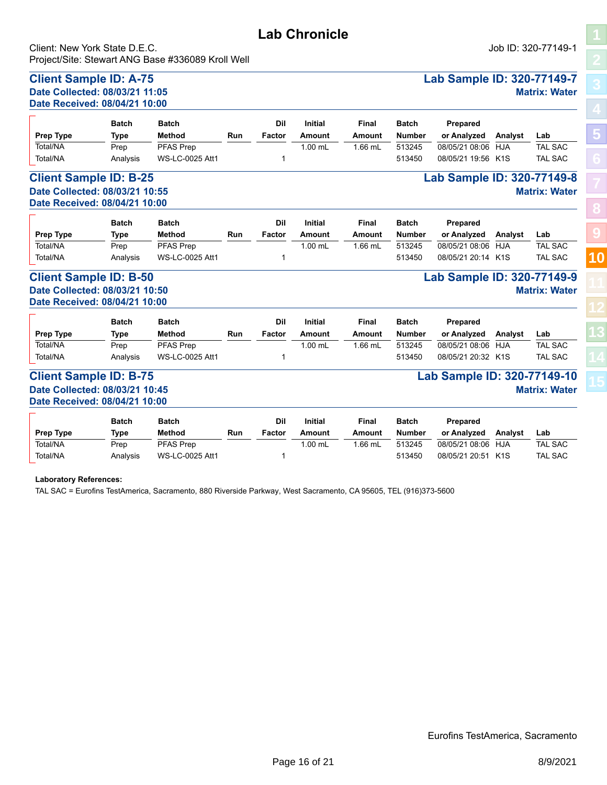### **Client Sample ID: A-75 Lab Sample ID: 320-77149-7 Date Collected: 08/03/21 11:05 Matrix: Water Date Received: 08/04/21 10:00**

|                               | <b>Batch</b> | Batch            |     | Dil    | <b>Initial</b> | Final   | <b>Batch</b>  | Prepared                   |         |                |
|-------------------------------|--------------|------------------|-----|--------|----------------|---------|---------------|----------------------------|---------|----------------|
| <b>Prep Type</b>              | Type         | Method           | Run | Factor | Amount         | Amount  | <b>Number</b> | or Analyzed                | Analyst | Lab            |
| Total/NA                      | Prep         | <b>PFAS Prep</b> |     |        | $1.00$ mL      | l.66 mL | 513245        | 08/05/21 08:06 HJA         |         | <b>TAL SAC</b> |
| Total/NA                      | Analysis     | WS-LC-0025 Att1  |     |        |                |         | 513450        | 08/05/21 19:56 K1S         |         | <b>TAL SAC</b> |
| <b>Client Sample ID: B-25</b> |              |                  |     |        |                |         |               | Lab Sample ID: 320-77149-8 |         |                |

# **Date Collected: 08/03/21 10:55 Matrix: Water Date Received: 08/04/21 10:00**

| Prep Type | <b>Batch</b><br>Type | Batch<br>Method | Run | Dil<br>Factor | <b>Initial</b><br>Amount | Final<br>Amount | <b>Batch</b><br><b>Number</b> | <b>Prepared</b><br>or Analyzed | Analyst | Lab            |
|-----------|----------------------|-----------------|-----|---------------|--------------------------|-----------------|-------------------------------|--------------------------------|---------|----------------|
| Total/NA  | Prep                 | PFAS Prep       |     |               | $1.00$ mL                | 1.66 mL         | 513245                        | 08/05/21 08:06 HJA             |         | <b>TAL SAC</b> |
| Total/NA  | Analvsis             | WS-LC-0025 Att1 |     |               |                          |                 | 513450                        | 08/05/21 20:14 K1S             |         | <b>TAL SAC</b> |

#### **Client Sample ID: B-50 Lab Sample ID: 320-77149-9 Date Collected: 08/03/21 10:50 Matrix: Water Date Received: 08/04/21 10:00**

| $\overline{\phantom{0}}$<br><b>Prep Type</b> | <b>Batch</b><br>Type | <b>Batch</b><br>Method | Run | Dil<br>Factor | <b>Initial</b><br>Amount | Final<br>Amount | <b>Batch</b><br>Number | <b>Prepared</b><br>or Analyzed | Analyst | Lab            |
|----------------------------------------------|----------------------|------------------------|-----|---------------|--------------------------|-----------------|------------------------|--------------------------------|---------|----------------|
| Total/NA                                     | Prep                 | <b>PFAS Prep</b>       |     |               | $1.00$ mL                | $1.66$ mL       | 513245                 | 08/05/21 08:06                 | HJA     | <b>TAL SAC</b> |
| Total/NA                                     | Analvsis             | <b>WS-LC-0025 Att1</b> |     |               |                          |                 | 513450                 | 08/05/21 20:32 K1S             |         | <b>TAL SAC</b> |

#### **Client Sample ID: B-75 Lab Sample ID: 320-77149-10 Date Collected: 08/03/21 10:45 Matrix: Water Date Received: 08/04/21 10:00**

|                  | <b>Batch</b> | <b>Batch</b>           |     | Dil    | Initial  | Final  | <b>Batch</b> | Prepared           |         |                |
|------------------|--------------|------------------------|-----|--------|----------|--------|--------------|--------------------|---------|----------------|
| <b>Prep Type</b> | Type         | Method                 | Run | Factor | Amount   | Amount | Number       | or Analyzed        | Analyst | Lab            |
| Total/NA         | Prep         | <b>PFAS Prep</b>       |     |        | $.00$ mL | .66 mL | 513245       | 08/05/21 08:06     | HJA     | <b>TAL SAC</b> |
| Total/NA         | Analysis     | <b>WS-LC-0025 Att1</b> |     |        |          |        | 513450       | 08/05/21 20:51 K1S |         | <b>TAL SAC</b> |

**Laboratory References:**

TAL SAC = Eurofins TestAmerica, Sacramento, 880 Riverside Parkway, West Sacramento, CA 95605, TEL (916)373-5600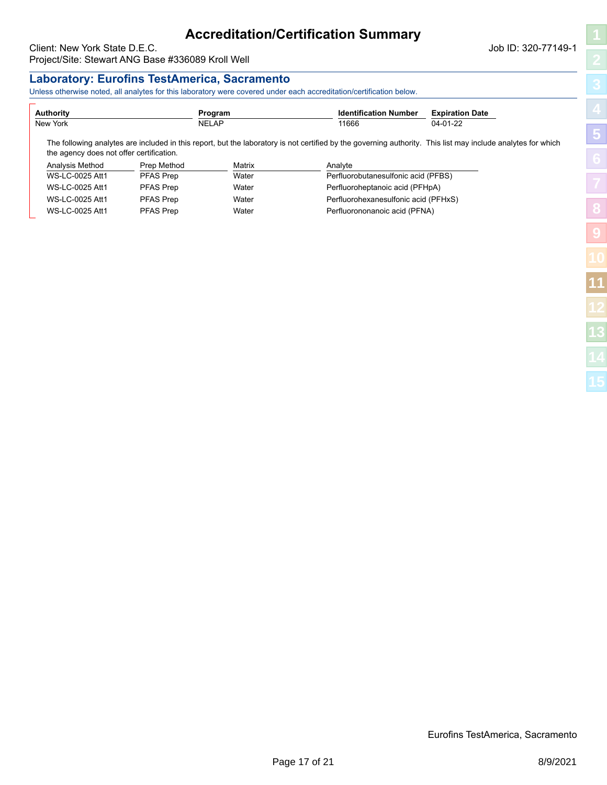# **Accreditation/Certification Summary**

<span id="page-16-0"></span>Client: New York State D.E.C. **Community** Client: New York State D.E.C. Project/Site: Stewart ANG Base #336089 Kroll Well

### **Laboratory: Eurofins TestAmerica, Sacramento**

Unless otherwise noted, all analytes for this laboratory were covered under each accreditation/certification below.

| Authority                                |                  | Program      | <b>Identification Number</b>                                                                                                                                 | <b>Expiration Date</b> |
|------------------------------------------|------------------|--------------|--------------------------------------------------------------------------------------------------------------------------------------------------------------|------------------------|
| New York                                 |                  | <b>NELAP</b> | 11666                                                                                                                                                        | $04 - 01 - 22$         |
| the agency does not offer certification. |                  |              | The following analytes are included in this report, but the laboratory is not certified by the governing authority. This list may include analytes for which |                        |
| Analysis Method                          | Prep Method      | Matrix       | Analyte                                                                                                                                                      |                        |
|                                          | PFAS Prep        | Water        |                                                                                                                                                              |                        |
| WS-LC-0025 Att1                          |                  |              | Perfluorobutanesulfonic acid (PFBS)                                                                                                                          |                        |
| WS-LC-0025 Att1                          | <b>PFAS Prep</b> | Water        | Perfluoroheptanoic acid (PFHpA)                                                                                                                              |                        |
| WS-LC-0025 Att1                          | <b>PFAS Prep</b> | Water        | Perfluorohexanesulfonic acid (PFHxS)                                                                                                                         |                        |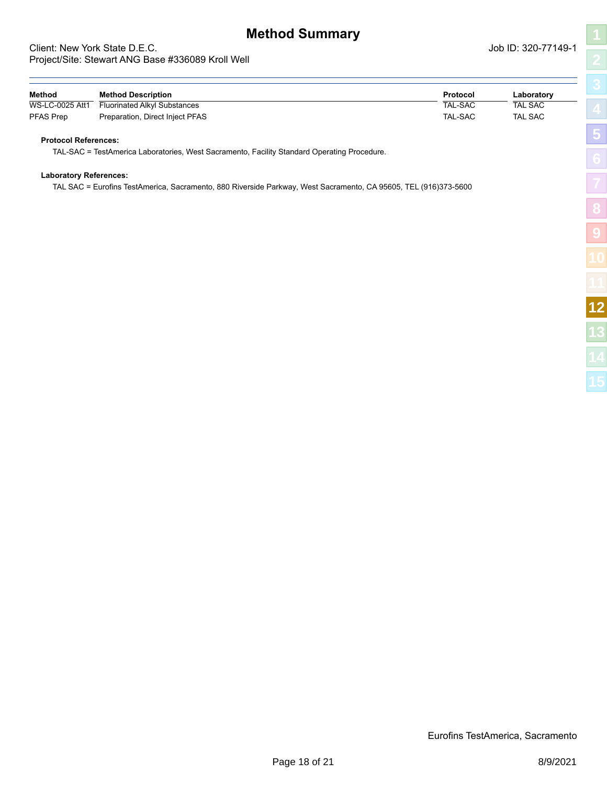# **Method Summary**

#### <span id="page-17-0"></span>Client: New York State D.E.C. **Client: New York State D.E.C.** Job ID: 320-77149-10-17149-1-120-7-120-7-120-77149-Project/Site: Stewart ANG Base #336089 Kroll Well

| 77149-1                    | 2               |
|----------------------------|-----------------|
| tory                       | 3<br>L          |
| $\overline{\text{c}}$<br>C | 4               |
|                            | ×<br>۰          |
|                            | ×<br>õ          |
|                            | n               |
|                            | $\circ$<br>٥    |
|                            | Ģ               |
|                            | 0               |
|                            | í<br>ł          |
|                            | $1\overline{2}$ |
|                            |                 |

| Method          | <b>Method Description</b>       | Protocol | Laboratory     |
|-----------------|---------------------------------|----------|----------------|
| WS-LC-0025 Att1 | Fluorinated Alkyl Substances    | TAL-SAC  | <b>TAL SAC</b> |
| PFAS Prep       | Preparation, Direct Inject PFAS | TAL-SAC  | <b>TAL SAC</b> |

#### **Protocol References:**

TAL-SAC = TestAmerica Laboratories, West Sacramento, Facility Standard Operating Procedure.

#### **Laboratory References:**

TAL SAC = Eurofins TestAmerica, Sacramento, 880 Riverside Parkway, West Sacramento, CA 95605, TEL (916)373-5600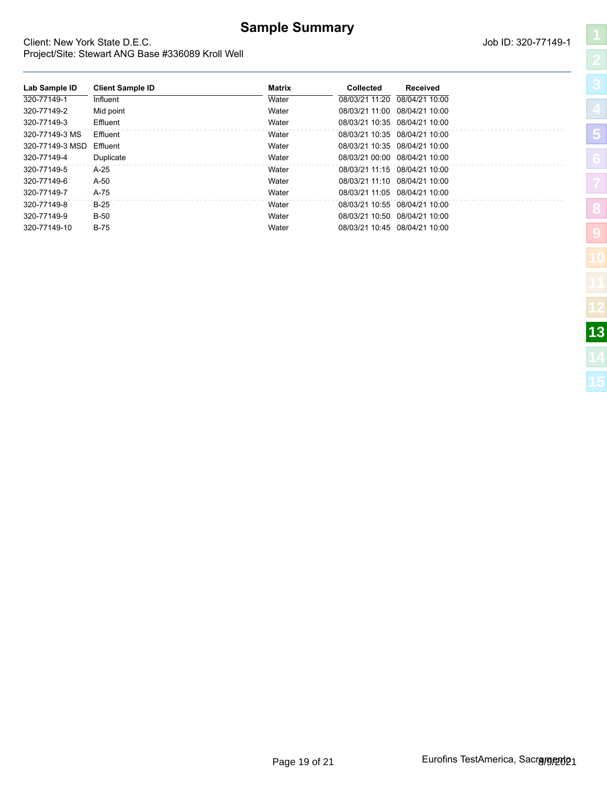# **Sample Summary**

**Lab Sample ID Client Sample ID Matrix Collected Received** 320-77149-1 Influent Water 08/03/21 11:20 08/04/21 10:00 320-77149-2 Mid point Water 08/03/21 11:00 08/04/21 10:00 320-77149-3 Effluent Water 08/03/21 10:35 08/04/21 10:00 320-77149-3 MS Effluent Water 08/03/21 10:35 08/04/21 10:00 320-77149-3 MSD Effluent Water 08/03/21 10:35 08/04/21 10:00 320-77149-4 Duplicate Water 08/03/21 00:00 08/04/21 10:00 320-77149-5 A-25 Water 08/03/21 11:15 08/04/21 10:00 320-77149-6 A-50 Water 08/03/21 11:10 08/04/21 10:00 320-77149-7 A-75 Water 08/03/21 11:05 08/04/21 10:00 320-77149-8 B-25 Water 08/03/21 10:55 08/04/21 10:00 320-77149-9 B-50 Water 08/03/21 10:50 08/04/21 10:00 320-77149-10 B-75 Water 08/03/21 10:45 08/04/21 10:00

#### <span id="page-18-0"></span>Client: New York State D.E.C. Project/Site: Stewart ANG Base #336089 Kroll Well

|  | Job ID: 320-77149-1 |  |  |
|--|---------------------|--|--|
|  |                     |  |  |

| ֖֢ׅ֦֧ׅ֦֧֧֧֚֚֚֚֚֚֚֚֚֚֬֝֬֓֡֡֡֜֓֡֡֬֝֬֓֡֬֝֬֓֓֡֬֓֓֞֓֡֬֓֞֬֓֡֬֓֝֬֝֬ |
|--------------------------------------------------------------|
| $\overline{\phantom{a}}$<br>j                                |
| ļ                                                            |
|                                                              |
|                                                              |
| l                                                            |
| ĺ                                                            |
|                                                              |
|                                                              |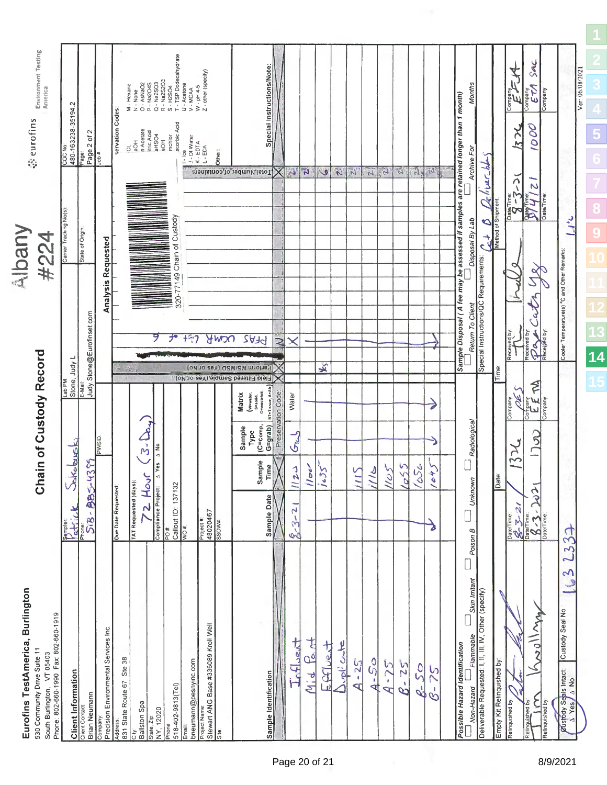<span id="page-19-0"></span>

| Environment Testing<br>America<br>eurofins                                                                                              | $\sim$<br>COC No:<br>480-163238-35194.<br>Carrier Tracking No(s) | Page 2 of 2<br>Page                                            |                                                 | servation Codes                       | M . Hexane<br>O . Navado<br>D . Navado<br>P . Na2O4S<br>R . Na2SO3<br>S . H2SO4<br>S . H2SO4<br>T . TSP Dodecahydrate<br>T . TSP Dodecahydrate<br>V . NCAA<br>CL<br>aOH<br>n Acetate<br>nic Acid<br>aHSO4<br>aHSO4<br>mchlor |                                                       | scorbic Acid                    | $1 - \text{ice}$<br>$3 - \text{DI Water}$<br>$K - \text{EDTA}$<br>$L - \text{EDA}$ | W - pH 4-5<br>Z - other (specify)                          | Other: | X   Total, Number of containers                                                                                                                       | Special Instructions/Note:                     | أدمي                                                                                  | $\mathbf{z}$   | $\blacktriangleright$ | $\mathbf{z}$ | $\mathcal{L}$                                 | $\mathbb{N}$                                        | $\mathcal{F}_{\mathbf{z}}$        | $\mathbb{N}$ ,         | FAR,               | 的                                | Months<br>Sample Disposal (A fee may be assessed if samples are retained longer than 1 month)<br>Archive For | Zelivershir                                                                                                                                | $\frac{c_{c}+B}{N$        | 4<br>Company<br>EL<br>$\overline{125}$<br>Λ<br>S-8 | SAC<br>WAS<br>Nueduo <sub>0</sub><br>$\overline{\mathcal{S}}$<br>O<br><b>Part Time</b> | Company<br>Date/Time | $\mathcal{L}$                                                           | Ver: 06/08/2021<br>5 |
|-----------------------------------------------------------------------------------------------------------------------------------------|------------------------------------------------------------------|----------------------------------------------------------------|-------------------------------------------------|---------------------------------------|------------------------------------------------------------------------------------------------------------------------------------------------------------------------------------------------------------------------------|-------------------------------------------------------|---------------------------------|------------------------------------------------------------------------------------|------------------------------------------------------------|--------|-------------------------------------------------------------------------------------------------------------------------------------------------------|------------------------------------------------|---------------------------------------------------------------------------------------|----------------|-----------------------|--------------|-----------------------------------------------|-----------------------------------------------------|-----------------------------------|------------------------|--------------------|----------------------------------|--------------------------------------------------------------------------------------------------------------|--------------------------------------------------------------------------------------------------------------------------------------------|---------------------------|----------------------------------------------------|----------------------------------------------------------------------------------------|----------------------|-------------------------------------------------------------------------|----------------------|
| Albany<br>#224                                                                                                                          | Lab PM:<br>Stone, Judy L                                         | State of Origin:<br>Judy.Stone@Eurofinset.com<br><b>E-Mail</b> | <b>Analysis Requested</b>                       | $\mathbb{R} \times \mathbb{R}$<br>317 |                                                                                                                                                                                                                              | 9                                                     | 320-77149 Chain of Custody<br>尹 | $+97$                                                                              |                                                            | nowy   | PFR2<br>Perform MS/MSD (Yes or No)<br>Field Filtered Sample (Yes or No)<br>BT=Tissue, A=Air<br>(Wrwater,<br>S=solid,<br>O=waste/oil,<br><b>Matrix</b> | $\overline{\mathcal{Z}}$                       | Water                                                                                 |                | 义                     |              |                                               |                                                     |                                   |                        |                    |                                  | Disposal By Lab<br>Return To Client                                                                          | Special Instructions/QC Requirements                                                                                                       | Time:                     | ợ<br>Received by<br>$\mathscr{C}$<br>Company       | ⋖<br>President<br>Received by<br>Company<br>E E M                                      |                      | Cooler Temperature(s) °C and Other Remarks:                             | 14                   |
| hain of Custody Record<br>$\overline{\mathbf{o}}$                                                                                       | Alcobusky<br>U<br>Vati.                                          | $-4355$<br>885-<br>Sie                                         | PWSID                                           | <b>Due Date Requested:</b>            | 3.24<br>TAT Requested (days):                                                                                                                                                                                                | A No<br>$\Delta$ Yes<br>2 Hour<br>Compliance Project: | PO #<br>Callout ID: 137132      | WO <sup>#</sup>                                                                    | Project #<br>48020467<br>SSOW#                             |        | (C=comp,<br>$G=grad$<br>Sample<br>Type<br>Sample<br>Time                                                                                              | Preservation Code:<br>$\lambda$<br>Sample Date | $\mathcal{G}_{\mathbf{k}}$<br>$\frac{21}{2}$<br>$\overline{z}$<br>$\frac{1}{2}$<br>OI | 10<            | <b>Scr</b>            |              | 115                                           | 16                                                  | 105                               | $25^{o}$               | oSG                | 545<br>Δ                         | Radiological<br>$\Box$<br>Unknown<br>Poison B                                                                |                                                                                                                                            | Date:                     | $\chi$<br>3                                        | <b>Co</b><br>$\frac{3}{2}$<br>Date Time                                                |                      | 2337                                                                    |                      |
| Eurofins TestAmerica, Burlington<br>Phone: 802-660-1990 Fax: 802-660-1919<br>530 Community Drive Suite 11<br>South Burlington, VT 05403 | <b>Client Information</b>                                        | Brian Neumann                                                  | Precision Environmental Services Inc<br>Company | 831 State Route 67 Ste 38<br>Address: | Ballston Spa<br>City.                                                                                                                                                                                                        | State, Zip:<br>NY, 12020                              | 518-402-9813(Tel)<br>Phone:     | bneumann@pesnyinc.com<br>Email                                                     | Stewart ANG Base #336089 Kroll Well<br>Site<br>Project Nam |        |                                                                                                                                                       | Sample Identification                          | Influent                                                                              | ŧ<br>∩Ó<br>Mid | trents.               | اسم أأحدا    | $\frac{5}{25}$<br>$\mathfrak{g}$<br><b>PD</b> | $\mathcal{S}^{\mathbf{0}}_0$<br>$\pmb{\cdot}$<br>বা | $-75$<br>$\overline{\mathcal{L}}$ | $-25$<br>$\mathcal{P}$ | 50<br>$\mathbb{Z}$ | $\frac{5}{2}$<br>$\mathcal{S}$ - | Skin Irritant<br>Possible Hazard Identification                                                              | <sup>L—J</sup> Non-Hazard <sup>—— Fiammable      <sup>——</sup> Skin Irrit<br/>Deliverable Requested: I, II, III, IV, Other (specify)</sup> | Empty Kit Relinquished by | Relinquished by                                    | ANILON<br>Relinquished by<br>Reinquished by                                            |                      | $\mathbf{c}$<br>Custody Seal No.<br><b><i>Pustody Seals Intact:</i></b> |                      |